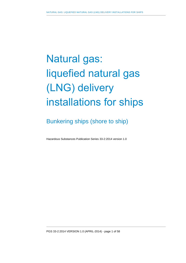# Natural gas: liquefied natural gas (LNG) delivery installations for ships

Bunkering ships (shore to ship)

Hazardous Substances Publication Series 33-2:2014 version 1.0

PGS 33-2:2014 VERSION 1.0 (APRIL-2014) - page 1 of 58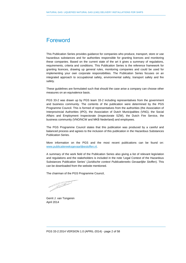## <span id="page-1-0"></span>Foreword

This Publication Series provides guidance for companies who produce, transport, store or use hazardous substances and for authorities responsible for granting licences and monitoring these companies. Based on the current state of the art it gives a summary of regulations, requirements, criteria and conditions. This Publication Series is the reference framework for granting licences, drawing up general rules, monitoring companies and could be used for implementing your own corporate responsibilities. The Publication Series focuses on an integrated approach to occupational safety, environmental safety, transport safety and fire safety.

These guidelines are formulated such that should the case arise a company can choose other measures on an equivalence basis.

PGS 33-2 was drawn up by PGS team 33-2 including representatives from the government and business community. The contents of the publication were determined by the PGS Programme Council. This is formed of representatives from the authorities (the Association of Interprovincial Authorities (IPO), the Association of Dutch Municipalities (VNG), the Social Affairs and Employment Inspectorate (Inspectorate SZW), the Dutch Fire Service, the business community (VNO/NCW and MKB Nederland) and employees.

The PGS Programme Council states that this publication was produced by a careful and balanced process and agrees to the inclusion of this publication in the Hazardous Substances Publication Series.

More information on the PGS and the most recent publications can be found on: www.publicatiereeksgevaarlijkestoffen.nl.

A summary of the work field of the Publication Series also giving a list of relevant legislation and regulations and the stakeholders is included in the note 'Legal Context of the Hazardous Substances Publication Series' (*Juridische context Publicatiereeks Gevaarlijke Stoffen*). This can be downloaded from the website mentioned.

The chairman of the PGS Programme Council,

Gerrit J. van Tongeren April 2014

PGS 33-2:2014 VERSION 1.0 (APRIL-2014) - page 2 of 58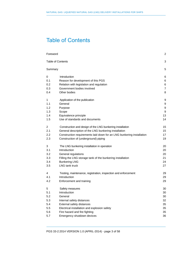# <span id="page-2-0"></span>Table of Contents

| Foreword                      |                                                                       | $\overline{c}$ |
|-------------------------------|-----------------------------------------------------------------------|----------------|
| <b>Table of Contents</b><br>3 |                                                                       |                |
| Summary                       |                                                                       | 5              |
| 0                             | Introduction                                                          | 6              |
| 0.1                           | Reason for development of this PGS                                    | 6              |
| 0.2                           | Relation with legislation and regulation                              | 6              |
| 0.3                           | Government bodies involved                                            | 7              |
| 0.4                           | Other bodies                                                          | 8              |
| 1                             | Application of the publication                                        | 9              |
| 1.1                           | General                                                               | 9              |
| 1.2                           | Purpose                                                               | 9              |
| 1.3                           | Scope                                                                 | 9              |
| 1.4                           | Equivalence principle                                                 | 13             |
| 1.5                           | Use of standards and documents                                        | 14             |
| 2                             | Construction and design of the LNG bunkering installation             | 15             |
| 2.1                           | General description of the LNG bunkering installation                 | 15             |
| 2.2                           | Construction requirements laid down for an LNG bunkering installation | 17             |
| 2.3                           | Construction of (underground) piping                                  | 19             |
| 3                             | The LNG bunkering installation in operation                           | 20             |
| 3.1                           | Introduction                                                          | 20             |
| 3.2                           | General regulations                                                   | 20             |
| 3.3                           | Filling the LNG storage tank of the bunkering installation            | 21             |
| 3.4                           | <b>Bunkering LNG</b>                                                  | 24             |
| 3.5                           | <b>LNG tank truck</b>                                                 | 27             |
| 4                             | Testing, maintenance, registration, inspection and enforcement        | 29             |
| 4.1                           | Introduction                                                          | 29             |
| 4.2                           | Enforcement and training                                              | 29             |
| 5                             | Safety measures                                                       | 30             |
| 5.1                           | Introduction                                                          | 30             |
| 5.2                           | General                                                               | 30             |
| 5.3                           | Internal safety distances                                             | 32             |
| 5.4                           | External safety distances                                             | 35             |
| 5.5                           | Electrical installation and explosion safety                          | 35             |
| 5.6                           | Fire hazard and fire fighting                                         | 35             |
| 5.7                           | Emergency shutdown devices                                            | 36             |
|                               |                                                                       |                |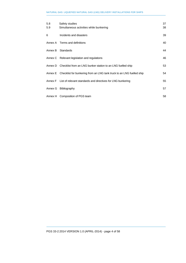| 5.8<br>5.9 | Safety studies<br>Simultaneous activities while bunkering             | 37<br>38 |
|------------|-----------------------------------------------------------------------|----------|
| 6          | Incidents and disasters                                               | 39       |
|            | Annex A Terms and definitions                                         | 40       |
| Annex B    | Standards                                                             | 44       |
|            | Annex C Relevant legislation and regulations                          | 46       |
| Annex D    | Checklist from an LNG bunker station to an LNG fuelled ship           | 53       |
| Annex E    | Checklist for bunkering from an LNG tank truck to an LNG fuelled ship | 54       |
|            | Annex F List of relevant standards and directives for LNG bunkering   | 55       |
| Annex G    | Bibliography                                                          | 57       |
|            | Annex H Composition of PGS team                                       | 58       |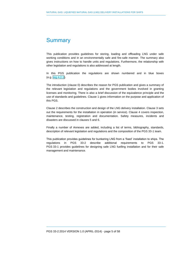## <span id="page-4-0"></span>**Summary**

This publication provides guidelines for storing, loading and offloading LNG under safe working conditions and in an environmentally safe and fire-safe manner. The summary also gives instructions on how to handle units and regulations. Furthermore, the relationship with other legislation and regulations is also addressed at length.

In this PGS publication the regulations are shown numbered and in blue boxes (e.g. reg 4.2.1).

The introduction (clause 0) describes the reason for PGS publication and gives a summary of the relevant legislation and regulations and the government bodies involved in granting licenses and monitoring. There is also a brief discussion of the equivalence principle and the use of standards and guidelines. Clause 1 gives information on the purpose and application of this PGS.

Clause 2 describes the construction and design of the LNG delivery installation. Clause 3 sets out the requirements for the installation in operation (in service). Clause 4 covers inspection, maintenance, testing, registration and documentation. Safety measures, incidents and disasters are discussed in clauses 5 and 6.

Finally a number of Annexes are added, including a list of terms, bibliography, standards, description of relevant legislation and regulations and the composition of the PGS 33-1 team.

This publication provides guidelines for bunkering LNG from a 'fixed' installation to ships. The regulations in PGS 33-2 describe additional requirements to PGS 33-1. PGS 33-1 provides guidelines for designing safe LNG fuelling installation and for their safe management and maintenance.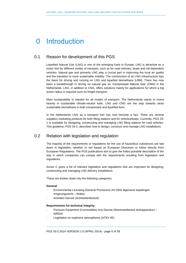# <span id="page-5-0"></span>0 Introduction

### 0.1 Reason for development of this PGS

<span id="page-5-1"></span>Liquefied Natural Gas (LNG) is one of the emerging fuels in Europe. LNG is attractive as a motor fuel for different modes of transport, such as for road vehicles, boats and rail dependent vehicles. Natural gas and primarily LNG play a crucial part in improving the local air quality and the transition to more sustainable mobility. The construction of an LNG infrastructure lays the basis for driving and running on LNG and liquefied biomethane (LBM). There has now been a breakthrough in driving on natural gas on 'Compressed Natural Gas' (CNG) in the Netherlands. LNG, in addition to CNG, offers solutions mainly for applications for which a big action radius is required such as freight transport.

More sustainability is needed for all modes of transport. The Netherlands wants to invest heavily in sustainable climate-neutral fuels. LNG and CNG are the step towards clean sustainable biomethane in both compressed and liquefied form.

In the Netherlands LNG as a transport fuel has now become a fact. There are several suppliers marketing products for both filling stations and for vehicles/boats. Currently, PGS 33- 1 is available for designing, constructing and managing LNG filling stations for road vehicles. This guideline, PGS 33-2, describes how to design, construct and manage LNG installations.

### 0.2 Relation with legislation and regulation

<span id="page-5-2"></span>The majority of the requirements or regulations for the use of hazardous substances are laid down in legislation, whether or not based on European Directives or follow directly from European Regulations. The PGS publications aim to give the fullest possible description of the way in which companies can comply with the requirements resulting from legislation and regulations.

Annex C gives a list of relevant legislation and regulations that are important for designing, constructing and managing LNG delivery installations.

These are broken down into the following categories:

### **General**:

- Environmental Licensing (General Provisions) Act (Wet algemene bepalingen omgevingsrecht – Wabo)
- Activities Decree (Activiteitenbesluit)

#### **Requirements for technical integrity**:

- Pressure Equipment (Commodities Act) Decree (Warenwetbesluit drukapparatuur WBDA)
- Legislation on explosive atmospheres (ATEX 95)

PGS 33-2:2014 VERSION 1.0 (APRIL-2014) - page 6 of 58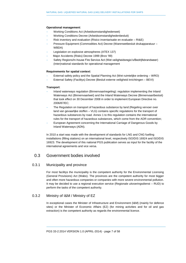### **Operational management**:

- Working Conditions Act (Arbeidsomstandighedenwet)
- Working Conditions Decree (Arbeidsomstandighedenbesluit)
- Risk inventory and evaluation (Risico inventarisatie en evaluatie RI&E)
- Pressure Equipment (Commodities Act) Decree (Warenwetbesluit drukapparatuur WBDA)
- Legislation on explosive atmospheres (ATEX 137)
- Major Accidents (Risks) Decree 1999 (Brzo '99)
- Safety Regions/In-house Fire Service Act (Wet veiligheidsregio's/Bedrijfsbrandweer) (Inter)national standards for operational management

### **Requirements for spatial context**:

- External safety policy and the Spatial Planning Act (Wet ruimtelijke ordening WRO)
- External Safety (Facilitys) Decree (Besluit externe veiligheid inrichtingen BEVI)

### **Transport**:

- Inland waterways regulation (Binnenvaartregeling): regulation implementing the Inland Waterways Act (Binnenvaartwet) and the Inland Waterways Decree (Binnenvaartbesluit) that took effect on 30 December 2008 in order to implement European Directive no. 2006/87/EC;
- The Regulation on transport of hazardous substance by land (Regeling vervoer over land van gevaarlijke stoffen – VLG) contains specific regulations for the transport of hazardous substances by road. Annex 1 to this regulation contains the international rules for the transport of hazardous substances, which come from the ADR convention;
- European Agreement concerning the International Carriage of Dangerous Goods by Inland Waterways (ADN).

In 2010 a start was made with the development of standards for LNG and CNG fuelling installations (filling stations) on an international level, respectively ISO/DIS 16924 and ISO/DIS 16923. The development of this national PGS publication serves as input for the facility of the international agreements and vice versa.

### <span id="page-6-0"></span>0.3 Government bodies involved

### 0.3.1 Municipality and province

For most facilitys the municipality is the competent authority for the Environmental Licensing (General Provisions) Act (Wabo). The provinces are the competent authority for most bigger and often more hazardous companies or companies with more severe environmental pollution. It may be decided to use a regional execution service (Regionale uitvoeringsdienst – RUD) to perform the tasks of the competent authority.

### 0.3.2 Ministry of I&M / Ministry of EZ

In exceptional cases the Minister of Infrastructure and Environment (I&M) (mainly for defence sites) or the Minister of Economic Affairs (EZ) (for mining activities and for oil and gas extraction) is the competent authority as regards the environmental licence.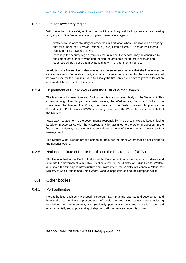### 0.3.3 Fire service/safety region

With the arrival of the safety regions, the municipal and regional fire brigades are disappearing and, as part of the fire service, are going into these safety regions:

- firstly because of its statutory advisory task in a situation where this involves a company that falls under the '99 Major Accidents (Risks) Decree (Brzo '99) and/or the External Safety (Facilitys) Decree (Bevi);
- secondly, the security region (formerly the municipal fire service) may be consulted by the competent authority when determining requirements for fire prevention and fire suppression provisions that may be laid down in environmental licences.

In addition, the fire service is also involved as the emergency service that shall have to act in case of incidents. To be able to act, a number of measures intended for the fire service shall be taken (see for this clauses 5 and 6). Finally the fire service will have to prepare for action and so shall be informed of the situation..

### 0.3.4 Department of Public Works and the District Water Boards

The Minister of Infrastructure and Environment is the competent body for the Water Act. This covers among other things the coastal waters, the Waddenzee, Eems and Dollard, the IJsselmeer, the Meuse, the Rhine, the IJssel and the Zeeland waters. In practice the Department of Public Works (RWS) is the party who issues the Water Act licence on behalf of the Minister

Waterway management is the government's responsibility in order to make and keep shipping possible, in accordance with the waterway function assigned to the water in question. In the Water Act, waterway management is considered as one of the elements of water system management.

The District Water Boards are the competent body for the other waters that do not belong to the national waters.

### 0.3.5 National Institute of Public Health and the Environment (RIVM)

The National Institute of Public Health and the Environment carries out research, advises and supports the government with policy. Its clients include the Ministry of Public Health, Welfare and Sport, the Ministry of Infrastructure and Environment, the Ministry of Economic Affairs, the Ministry of Social Affairs and Employment, various inspectorates and the European Union.

### <span id="page-7-0"></span>0.4 Other bodies

### 0.4.1 Port authorities

Port authorities, such as Havenbedrijf Rotterdam N.V., manage, operate and develop port and industrial areas. Within the preconditions of public law, and using various means including regulations and enforcement, the (national) port master ensures a rapid, safe and environmentally sound processing of shipping traffic in the area under his control.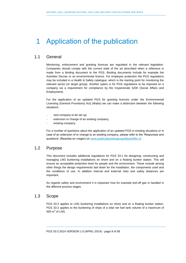# <span id="page-8-0"></span>1 Application of the publication

### 1.1 General

<span id="page-8-1"></span>Monitoring, enforcement and granting licences are regulated in the relevant legislation. Companies should comply with the current state of the art described when a reference is made from a binding document to the PGS. Binding documents include for example the Activities Decree or an environmental licence. For employee protection the PGS regulations may be included in a Health & Safety catalogue, which is the starting point for monitoring the relevant sector (or target group). Another option is for PGS regulations to be imposed on a company via a requirement for compliance by the Inspectorate SZW (Social Affairs and Employment).

For the application of an updated PGS for granting licences under the Environmental Licensing (General Provisions) Act) (Wabo) we can make a distinction between the following situations:

- new company to be set up;
- extension or change of an existing company;
- existing company.

For a number of questions about the application of an updated PGS in existing situations or in case of an extension of or change to an existing company, please refer to the 'Responses and questions' (Reacties en vragen) on [www.publicatiereeksgevaarlijkestoffen.nl.](http://www.publicatiereeksgevaarlijkestoffen.nl/)

### 1.2 Purpose

<span id="page-8-2"></span>This document includes additional regulations for PGS 33-1 for designing, constructing and managing LNG bunkering installations on shore and on a floating bunker station. This will ensure an acceptable protection level for people and the environment. These include among other things the design requirements laid down for the installation, the components used and the conditions of use. In addition internal and external risks and safety distances are important.

As regards safety and environment it is important how for example boil-off gas is handled in the different process stages.

### 1.3 Scope

<span id="page-8-3"></span>PGS 33-2 applies to LNG bunkering installations on shore and on a floating bunker station. PGS 33-2 applies to the bunkering of ships of a total net fuel tank volume of a maximum of 500  $m^3$  of LNG.

PGS 33-2:2014 VERSION 1.0 (APRIL-2014) - page 9 of 58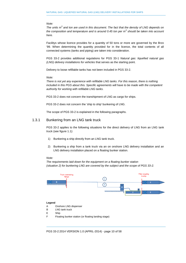### *Note:*

*The units m<sup>3</sup> and ton are used in this document. The fact that the density of LNG depends on the composition and temperature and is around 0.45 ton per m<sup>3</sup> should be taken into account here.*

Facilitys whose licence provides for a quantity of 50 tons or more are governed by the Brzo '99. When determining the quantity provided for in the licence, the total contents of all connected systems (tanks and piping) are taken into consideration.

PGS 33-2 provides additional regulations for PGS 33-1 *Natural gas: liquefied natural gas (LNG) delivery installations for vehicles* that serves as the starting point.

Delivery to loose refillable tanks has not been included in PGS 33-2.

### *Note:*

*There is not yet any experience with refillable LNG tanks. For this reason, there is nothing*  included in this PGS about this. Specific agreements will have to be made with the competent *authority for working with refillable LNG tanks.*

PGS 33-2 does not concern the transhipment of LNG as cargo for ships.

PGS 33-2 does not concern the 'ship to ship' bunkering of LNG.

The scope of PGS 33-2 is explained in the following paragraphs.

### 1.3.1 Bunkering from an LNG tank truck

PGS 33-2 applies to the following situations for the direct delivery of LNG from an LNG tank truck (see figure 1.1):

- 1) Bunkering a ship directly from an LNG tank truck.
- 2) Bunkering a ship from a tank truck via an on onshore LNG delivery installation and an LNG delivery installation placed on a floating bunker station.

#### *Note:*

*The requirements laid down for the equipment on a floating bunker station (situation 2) for bunkering LNG are covered by the subject and the scope of PGS 33-2.*



PGS 33-2:2014 VERSION 1.0 (APRIL-2014) - page 10 of 58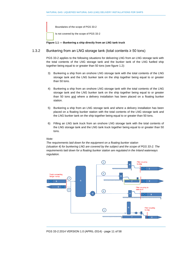Boundaries of the scope of PGS 33-2

Is not covered by the scope of PGS 33-2

**Figure 1.1 — Bunkering a ship directly from an LNG tank truck**

### 1.3.2 Bunkering from an LNG storage tank (total contents ≥ 50 tons)

PGS 33-2 applies to the following situations for delivering LNG from an LNG storage tank with the total contents of the LNG storage tank and the bunker tank of the LNG fuelled ship together being equal to or greater than 50 tons (see figure 1.2):

- 3) Bunkering a ship from an onshore LNG storage tank with the total contents of the LNG storage tank and the LNG bunker tank on the ship together being equal to or greater than 50 tons.
- 4) Bunkering a ship from an onshore LNG storage tank with the total contents of the LNG storage tank and the LNG bunker tank on the ship together being equal to or greater than 50 tons and where a delivery installation has been placed on a floating bunker station.
- 5) Bunkering a ship from an LNG storage tank and where a delivery installation has been placed on a floating bunker station with the total contents of the LNG storage tank and the LNG bunker tank on the ship together being equal to or greater than 50 tons.
- 6) Filling an LNG tank truck from an onshore LNG storage tank with the total contents of the LNG storage tank and the LNG tank truck together being equal to or greater than 50 tons.

### *Note:*

*The requirements laid down for the equipment on a floating bunker station (situation 4) for bunkering LNG are covered by the subject and the scope of PGS 33-2. The requirements laid down for a floating bunker station are regulated in the Inland waterways regulation.* 



PGS 33-2:2014 VERSION 1.0 (APRIL-2014) - page 11 of 58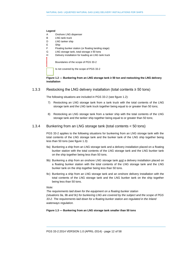#### **Legend**

- A Onshore LNG dispenser
- B LNG tank truck
- D LNG tanker ship
- E Ship
- F Floating bunker station (or floating landing stage)
- G LNG storage tank, total storage ≥ 50 tons
- H Delivery installation for loading an LNG tank truck

Boundaries of the scope of PGS 33-2

Is not covered by the scope of PGS 33-2

**Figure 1.2 — Bunkering from an LNG storage tank ≥ 50 ton and restocking the LNG delivery installation**

### 1.3.3 Restocking the LNG delivery installation (total contents ≥ 50 tons)

The following situations are included in PGS 33-2 (see figure 1.2):

- 7) Restocking an LNG storage tank from a tank truck with the total contents of the LNG storage tank and the LNG tank truck together being equal to or greater than 50 tons;
- 8) Restocking an LNG storage tank from a tanker ship with the total contents of the LNG storage tank and the tanker ship together being equal to or greater than 50 tons;

### 1.3.4 Bunkering from an LNG storage tank (total contents < 50 tons)

PGS 33-2 applies to the following situations for bunkering from an LNG storage tank with the total contents of the LNG storage tank and the bunker tank of the LNG ship together being less than 50 tons (see figure 1.3):

- 9a) Bunkering a ship from an LNG storage tank and a delivery installation placed on a floating bunker station with the total contents of the LNG storage tank and the LNG bunker tank on the ship together being less than 50 tons.
- 9b) Bunkering a ship from an onshore LNG storage tank and a delivery installation placed on a floating bunker station with the total contents of the LNG storage tank and the LNG bunker tank on the ship together being less than 50 tons.
- 9c) Bunkering a ship from an LNG storage tank and an onshore delivery installation with the total contents of the LNG storage tank and the LNG bunker tank on the ship together being less than 50 tons.

*Note:*

*The requirements laid down for the equipment on a floating bunker station (situations 9a, 9b and 9c) for bunkering LNG are covered by the subject and the scope of PGS 33-2. The requirements laid down for a floating bunker station are regulated in the Inland waterways regulation.* 

**Figure 1.3 — Bunkering from an LNG storage tank smaller than 50 tons**

PGS 33-2:2014 VERSION 1.0 (APRIL-2014) - page 12 of 58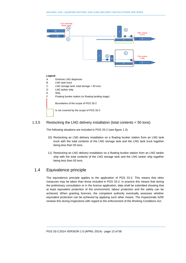

### 1.3.5 Restocking the LNG delivery installation (total contents < 50 tons)

The following situations are included in PGS 33-2 (see figure 1.3):

- 10) Restocking an LNG delivery installation on a floating bunker station from an LNG tank truck with the total contents of the LNG storage tank and the LNG tank truck together being less than 50 tons.
- 11) Restocking an LNG delivery installation on a floating bunker station from an LNG tanker ship with the total contents of the LNG storage tank and the LNG tanker ship together being less than 50 tons.

### 1.4 Equivalence principle

<span id="page-12-0"></span>The equivalence principle applies to the application of PGS 33-2. This means that other measures may be taken than those included in PGS 33-2. In practice this means that during the preliminary consultation or in the licence application, data shall be submitted showing that at least equivalent protection of the environment, labour protection and fire safety can be achieved. When granting licences, the competent authority eventually assesses whether equivalent protection can be achieved by applying such other means. The Inspectorate SZW reviews this during inspections with regard to the enforcement of the Working Conditions Act.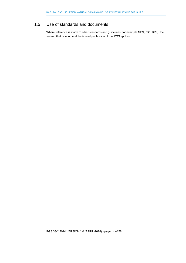### 1.5 Use of standards and documents

<span id="page-13-0"></span>Where reference is made to other standards and guidelines (for example NEN, ISO, BRL), the version that is in force at the time of publication of this PGS applies.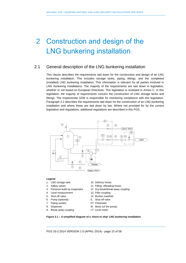# <span id="page-14-0"></span>2 Construction and design of the LNG bunkering installation

### 2.1 General description of the LNG bunkering installation

<span id="page-14-1"></span>This clause describes the requirements laid down for the construction and design of an LNG bunkering installation. This includes storage tanks, piping, fittings, and the completed (installed) LNG bunkering installation. This information is relevant for all parties involved in LNG bunkering installations. The majority of the requirements are laid down in legislation, whether or not based on European Directives. This legislation is reviewed in Annex C. In this legislation, the majority of requirements concern the construction of LNG storage tanks and fittings. The Inspectorate SZW is responsible for monitoring compliance with this legislation. Paragraph 2.2 describes the requirements laid down for the construction of an LNG bunkering installation and where these are laid down by law. Where not provided for by the current legislation and regulations, additional regulations are described in this PGS.



### **Legend**

- 1. LNG storage tank 10. Delivery hoses
- 
- 
- 4. Level measurement 13. Filler coupling
- 5. Shut-off valve 14 Bunker manifold
- 6. Pump (optional) E. Shut-off valve
- 7. Piping system FT Flowmeter
- 
- 9. Break-away coupling The LT. Level meter
- 
- 2. Safety valves 2. Safety valves
- 3. Pressure build-up evaporator 12 Dry-break/break-away coupling
	-
	-
	-
	-
- 8. Dispenser M. Motor (of the pump)
	-



PGS 33-2:2014 VERSION 1.0 (APRIL-2014) - page 15 of 58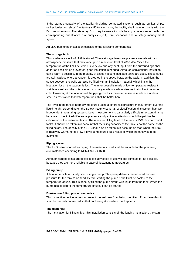If the storage capacity of the facility (including connected systems such as bunker ships, tanker lorries and ships' fuel tanks) is 50 tons or more, the facility shall have to comply with the Brzo requirements. The statutory Brzo requirements include having a safety report with the corresponding quantitative risk analysis (QRA), fire scenarios and a safety management system.

An LNG bunkering installation consists of the following components:

#### **The storage tank**

This is where a stock of LNG is stored. These storage tanks are pressure vessels with an atmospheric pressure that may vary up to a maximum level of 2000 kPa. Since the temperature of the LNG delivered is very low and any heat input from the surroundings shall as far as possible be prevented, good insulation is needed. Although conventional insulation using foam is possible, in the majority of cases vacuum insulated tanks are used. These tanks are twin-walled, where a vacuum is created in the space between the walls. In addition, the space between the walls can also be filled with an insulation material, which limits the insulation loss if the vacuum is lost. The inner vessel is made of low-temperature resistant stainless steel and the outer vessel is usually made of carbon steel as that will not become cold. However, at the locations of the piping conduits the outer vessel is made of stainless steel, as resistance to low temperatures shall be better here.

The level in the tank is normally measured using a differential pressure measurement over the liquid height. Depending on the Safety Integrity Level (SIL) classification, this system has two independent measuring systems. Level measurement is particularly difficult in horizontal tanks because of the limited differential pressure and particular attention should be paid to the calibration of the instrumentation. The maximum filling level of the tank is 95%. For horizontal tanks, it should be taken into account that the filling capacity of the tank is not the same as the filling height. The density of the LNG shall also be taken into account, so that, when the LNG is relatively warm, not too low a level is measured as a result of which the tank would be overfilled.

#### **Piping system**

The LNG is transported via piping. The materials used shall be suitable for the prevailing circumstances according to NEN-EN-ISO 16903.

Although flanged joints are possible, it is advisable to use welded joints as far as possible, because they are more reliable in case of fluctuating temperatures.

#### **Filling pump**

A boat or vehicle is usually filled using a pump. This pump delivers the required booster pressure for the tank to be filled. Before starting the pump it shall first be cooled to the temperature of use. This is done by filling the pump circuit with liquid from the tank. When the pump has cooled to the temperature of use, it can be started.

#### **Bunker overfilling protection device**

This protection device serves to prevent the fuel tank from being overfilled. To achieve this, it shall be properly connected so that bunkering stops when this happens.

#### **The dispenser**

The installation for filling ships. This installation consists of: the loading installation, the start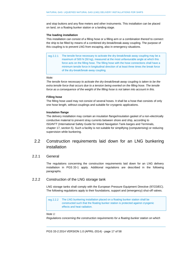and stop buttons and any flow meters and other instruments. This installation can be placed on land, on a floating bunker station or a landing stage.

### **The loading installation**

This installation can consist of a filling hose or a filling arm or a combination thereof to connect the ship to be filled by means of a combined dry-break/break-away coupling. The purpose of this coupling is to prevent LNG from escaping, also in emergency situations.

reg 2.2.1 The tensile force necessary to activate the dry-break/break-away coupling may be a maximum of 500 N (50 kg), measured at the most unfavourable angle at which this force acts on the filling hose. The filling hose with the hose connections shall have a minimum tensile force in longitudinal direction of at least three times the break force of the dry-break/break-away coupling.

### *Note:*

*The tensile force necessary to activate the dry-break/break-away coupling is taken to be the extra tensile force that occurs due to a tension being exerted on the filling hose. The tensile force as a consequence of the weight of the filling hose is not taken into account in this.* 

### **Filling hose**

The filling hose used may not consist of several hoses. It shall be a hose that consists of only one hose length, without couplings and suitable for cryogenic applications.

### **Insulation flange**

The delivery installation may contain an insulation flange/insulation gasket of a non-electrically conductive material to prevent stray currents between shore and ship, according to ISGINTT (International Safety Guide for Inland Navigation Tank-barges and Terminals, chapter 17, section 5). Such a facility is not suitable for simplifying (computerising) or reducing supervision while bunkering.

### <span id="page-16-0"></span>2.2 Construction requirements laid down for an LNG bunkering installation

### 2.2.1 General

The regulations concerning the construction requirements laid down for an LNG delivery installation in PGS 33-1 apply. Additional regulations are described in the following paragraphs.

### 2.2.2 Construction of the LNG storage tank

LNG storage tanks shall comply with the European Pressure Equipment Directive (97/23/EC). The following regulations apply to their foundations, support and (emergency) shut-off valves.

reg 2.2.2 The LNG bunkering installation placed on a floating bunker station shall be constructed such that the floating bunker station is protected against cryogenic effects and heat radiation.

*Regulations concerning the construction requirements for a floating bunker station on which* 

PGS 33-2:2014 VERSION 1.0 (APRIL-2014) - page 17 of 58

*Note 1:*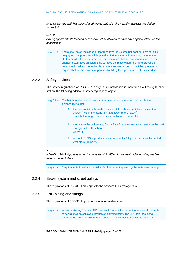*an LNG storage tank has been placed are described in the Inland waterways regulation, annex 3.8.* 

*Note 2:* 

*Any cryogenic effects that can occur shall not be allowed to have any negative effect on the construction.* 

reg 2.2.3 There shall be an indication of the filling level (in volume per cent or in cm of liquid height) and the pressure build-up in the LNG storage tank, enabling the operating staff to monitor the filling process. This indication shall be positioned such that the operating staff have sufficient time to leave the place where the filling process is being monitored and go to the place where an intervention in the filling process is required before the maximum permissible filling level/pressure level is exceeded.

### 2.2.3 Safety devices

The safety regulations of PGS 33-1 apply. If an installation is located on a floating bunker station, the following additional safety regulations apply:

| reg 2.2.4 | The height of the central vent stack is determined by means of a calculation<br>demonstrating that: |                                                                                                                                                                                                                                   |  |  |  |
|-----------|-----------------------------------------------------------------------------------------------------|-----------------------------------------------------------------------------------------------------------------------------------------------------------------------------------------------------------------------------------|--|--|--|
|           | 1 <sup>1</sup>                                                                                      | the heat radiation from this source, at 1 m above deck level, is less than<br>3 kW/m <sup>2</sup> within the facility limit and lower than 1 kW/m <sup>2</sup><br>outside it (though this is outside the limits of the facility); |  |  |  |
|           | 2.                                                                                                  | the heat radiation intensity from a flare from the central vent stack on the LNG<br>storage tank is less than<br>35 kW/ $m^2$ :                                                                                                   |  |  |  |
|           | 3.                                                                                                  | no pool of LNG is produced as a result of LNG liquid spray from the central<br>vent stack ('rainout').                                                                                                                            |  |  |  |

#### *Note:*

*NEN-EN 13645 stipulates a maximum value of 3 kW/m<sup>2</sup> for the heat radiation of a possible flare of the vent stack.*

reg 2.2.5 Requirements to reduce the risks of collision are imposed by the waterway manager.

### 2.2.4 Sewer system and street gulleys

The regulations of PGS 33-1 only apply to the onshore LNG storage tank.

### 2.2.5 LNG piping and fittings

The regulations of PGS 33-1 apply. Additional regulations are:

reg 2.2.6 When bunkering from an LNG tank truck, potential equalisation (electrical connection to earth) shall be achieved through an earthing point. The LNG tank truck shall therefore be provided with one or several metal connection points as electrical

PGS 33-2:2014 VERSION 1.0 (APRIL-2014) - page 18 of 58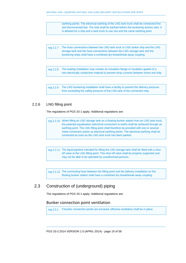earthing points. The electrical earthing of the LNG tank truck shall be connected first and disconnected last. The ship shall be earthed before the bunkering actions start. It is allowed for a ship and a tank truck to use one and the same earthing point.

reg 2.2.7 The hose connections between the LNG tank truck or LNG tanker ship and the LNG storage tank and the hose connections between the LNG storage tank and the bunkering ships shall have a combined dry-break/break-away coupling.

reg 2.2.8 The loading installation may contain an insulation flange or insulation gasket of a non-electrically conductive material to prevent stray currents between shore and ship.

reg 2.2.9 The LNG bunkering installation shall have a facility to prevent the delivery pressure from exceeding the safety pressure of the LNG tank of the connected ship.

### 2.2.6 LNG filling point

The regulations of PGS 33-1 apply. Additional regulations are:

reg 2.2.10 When filling an LNG storage tank on a floating bunker station from an LNG tank truck, the potential equalisation (electrical connection to earth) shall be achieved through an earthing point. The LNG filling point shall therefore be provided with one or several metal connection points as electrical earthing points. The electrical earthing shall be connected as soon as the LNG tank truck has been parked.

reg 2.2.11 The liquid pipeline intended for filling the LNG storage tank shall be fitted with a shutoff valve at the LNG filling point. This shut-off valve shall be properly supported and may not be able to be operated by unauthorised persons.

<span id="page-18-0"></span>reg 2.2.12 The connecting hose between the filling point and the delivery installation on the floating bunker station shall have a combined dry-break/break-away coupling.

### 2.3 Construction of (underground) piping

The regulations of PGS 33-1 apply. Additional regulations are:

### Bunker connection point ventilation

reg 2.3.1 If bunker connection points are encased, effective ventilation shall be in place.

PGS 33-2:2014 VERSION 1.0 (APRIL-2014) - page 19 of 58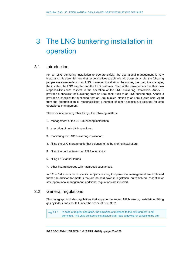# <span id="page-19-0"></span>3 The LNG bunkering installation in operation

### 3.1 Introduction

<span id="page-19-1"></span>For an LNG bunkering installation to operate safely, the operational management is very important. It is essential here that responsibilities are clearly laid down. As a rule, the following people are stakeholders in an LNG bunkering installation: the owner, the user, the manager, the installer, the LNG supplier and the LNG customer. Each of the stakeholders has their own responsibilities with respect to the operation of the LNG bunkering installation. Annex E provides a checklist for bunkering from an LNG tank truck to an LNG fuelled ship. Annex D provides a checklist for bunkering from an LNG bunker station to an LNG fuelled ship. Apart from the determination of responsibilities a number of other aspects are relevant for safe operational management.

These include, among other things, the following matters:

- 1. management of the LNG bunkering installation;
- 2. execution of periodic inspections;
- 3. monitoring the LNG bunkering installation;
- 4. filling the LNG storage tank (that belongs to the bunkering installation);
- 5. filling the bunker tanks on LNG fuelled ships;
- 6. filling LNG tanker lorries;
- 7. other hazard sources with hazardous substances.

In 3.2 to 3.4 a number of specific subjects relating to operational management are explained further. In addition for matters that are not laid down in legislation, but which are essential for safe operational management, additional regulations are included.

### 3.2 General regulations

<span id="page-19-2"></span>This paragraph includes regulations that apply to the entire LNG bunkering installation. Filling gas cylinders does not fall under the scope of PGS 33-2.

reg 3.2.1 In case of regular operation, the emission of methane to the environment is not permitted. The LNG bunkering installation shall have a device for collecting the boil-

PGS 33-2:2014 VERSION 1.0 (APRIL-2014) - page 20 of 58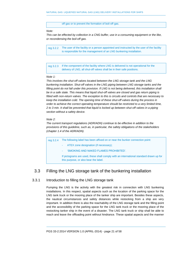#### off gas or to prevent the formation of boil-off gas.

#### *Note:*

*This can be effected by collection in a CNG buffer, use in a consuming equipment or the like, or recondensing the boil-off gas.*

reg 3.2.2 The user of the facility or a person appointed and instructed by the user of the facility is responsible for the management of an LNG bunkering installation.

reg 3.2.3 If the component of the facility where LNG is delivered is not operational for the delivery of LNG, all shut-off valves shall be in their safe positions.

### *Note 1:*

*This involves the shut-off valves located between the LNG storage tank and the LNG bunkering installation. Shut-off valves in the LNG piping between LNG storage tanks and the*  filling point do not fall under this provision. If LNG is not being delivered, this installation shall *be in a safe state. This means that liquid shut-off valves are closed and gas return piping is fitted with non-return valves. The exception to this is circuits and controls that are necessary to keep the installation cold. The opening time of these shut-off valves during the process in order to achieve the correct operating temperature should be restricted to a very limited time, 2 to 3 min. It shall be prevented that liquid is locked up between shut-off valves in a piping section without a safety device.*

### *Note 2:*

*The current transport regulations (ADR/ADN) continue to be effective in addition to the provisions of this guideline, such as, in particular, the safety obligations of the stakeholders (chapter 1.4 of the ADR/ADN).*

| reg 3.2.4 | The following label has been affixed on or near the bunker connection point:                                                    |
|-----------|---------------------------------------------------------------------------------------------------------------------------------|
|           | - ATEX zone designation (if necessary):                                                                                         |
|           | 'SMOKING AND NAKED FLAMES PROHIBITED'.                                                                                          |
|           | If pictograms are used, these shall comply with an international standard drawn up for<br>this purpose, or also bear the label. |
|           |                                                                                                                                 |

### <span id="page-20-0"></span>3.3 Filling the LNG storage tank of the bunkering installation

### 3.3.1 Introduction to filling the LNG storage tank

Pumping the LNG is the activity with the greatest risk in connection with LNG bunkering installations. In this respect, spatial aspects such as the location of the parking space for the LNG tank truck or the mooring place of the tanker ship are important. Besides these aspects, the nautical circumstances and safety distances while restocking from a ship are very important. In addition there is also the reachability of the LNG storage tank and the filling point and the accessibility of the parking space for the LNG tank truck or the mooring place of the restocking tanker ship in the event of a disaster. The LNG tank truck or ship shall be able to reach and leave the offloading point without hindrance. These spatial aspects and the manner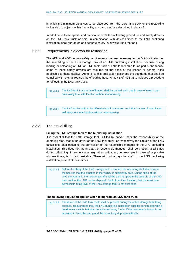in which the minimum distances to be observed from the LNG tank truck or the restocking tanker ship to objects within the facility are calculated are described in clause 5.

In addition to these spatial and nautical aspects the offloading procedure and safety devices on the LNG tank truck or ship, in combination with devices fitted to the LNG bunkering installation, shall guarantee an adequate safety level while filling the tank.

### 3.3.2 Requirements laid down for restocking

The ADN and ADR contain safety requirements that are necessary in the Dutch situation for the safe filling of the LNG storage tank of an LNG bunkering installation. Because during loading or offloading of LNG an LNG tank truck or LNG tanker ship forms part of the facility, some of these safety devices are required on the basis of the licence or general rules applicable to these facilitys. Annex F to this publication describes the standards that shall be complied with, e.g. as regards the offloading hose. Annex E of PGS 33-1 includes a procedure for offloading the LNG tank truck.

reg 3.3.1 The LNG tank truck to be offloaded shall be parked such that in case of need it can drive away to a safe location without manoeuvring.

reg 3.3.2 The LNG tanker ship to be offloaded shall be moored such that in case of need it can sail away to a safe location without manoeuvring.

### 3.3.3 The actual filling

#### **Filling the LNG storage tank of the bunkering installation**

It is essential that the LNG storage tank is filled by and/or under the responsibility of the operating staff, that is the driver of the LNG tank truck, or respectively the captain of the LNG tanker ship after obtaining the permission of the responsible manager of the LNG bunkering installation. This does not mean that the responsible manager shall be present at all times during offloading. In some cases night-time offloading, for example in case of applicable window times, is in fact desirable. There will not always be staff of the LNG bunkering installation present at these times.

reg 3.3.3 Before the filling of the LNG storage tank is started, the operating staff shall assure themselves that the situation in the vicinity is sufficiently safe. During filling of the LNG storage tank, the operating staff shall be able to operate the controls of the LNG tank truck or the LNG tanker ship and check, from their location, that the maximum permissible filling level of the LNG storage tank is not exceeded.

### **The following regulation applies when filling from an LNG tank truck**

reg 3.3.4 The driver of the LNG tank truck shall be present during the entire storage tank filling process. To guarantee this, the LNG bunkering installation shall be constructed with a dead man's switch that shall be activated every 3 min. If the dead man's button is not activated in time, the pump and the restocking stop automatically.

PGS 33-2:2014 VERSION 1.0 (APRIL-2014) - page 22 of 58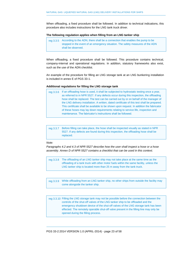When offloading, a fixed procedure shall be followed. In addition to technical indications, this procedure also includes instructions for the LNG tank truck driver.

#### **The following regulation applies when filling from an LNG tanker ship**

reg 3.3.5 According to the ADN, there shall be a connection that enables the pump to be stopped in the event of an emergency situation. The safety measures of the ADN shall be observed.

When offloading, a fixed procedure shall be followed. This procedure contains technical, company-internal and operational regulations. In addition, statutory frameworks also exist, such as the use of the ADN checklist.

An example of the procedure for filling an LNG storage tank at an LNG bunkering installation is included in annex E of PGS 33-1.

#### **Additional regulations for filling the LNG storage tank**

| reg 3.3.6 | If an offloading hose is used, it shall be subjected to hydrostatic testing once a year,    |
|-----------|---------------------------------------------------------------------------------------------|
|           | as referred to in NPR 5527. If any defects occur during this inspection, the offloading     |
|           | hose shall be replaced. The test can be carried out by or on behalf of the manager of       |
|           | the LNG delivery installation. A written, dated certificate of this test shall be prepared. |
|           | This certificate shall be available to be shown upon request. In addition the fabricator    |
|           | of these hoses may lay down requirements relating to service life, inspection and           |
|           | maintenance. The fabricator's instructions shall be followed.                               |

reg 3.3.7 Before filling can take place, the hose shall be inspected visually as stated in NPR 5527. If any defects are found during this inspection, the offloading hose shall be replaced.

### *Note:*

*Paragraphs 4.2 and 4.3 of NPR 5527 describe how the user shall inspect a hose or a hose assembly. Annex D of NPR 5527 contains a checklist that can be used in this context.* 

reg 3.3.8 The offloading of an LNG tanker ship may not take place at the same time as the offloading of a tank truck with other motor fuels within the same facility, unless the LNG tanker ship is located more than 25 m away from the tank truck.

reg 3.3.9 While offloading from an LNG tanker ship, no other ships from outside the facility may come alongside the tanker ship.

reg 3.3.10 Filling the LNG storage tank may not be possible before the connection between the controls of the shut-off valves of the LNG tanker ship to be offloaded and the emergency shutdown device of the shut-off valves of the LNG storage tank has been effected. The remotely operable shut-off valve present in the filling line may only be opened during the filling process.

PGS 33-2:2014 VERSION 1.0 (APRIL-2014) - page 23 of 58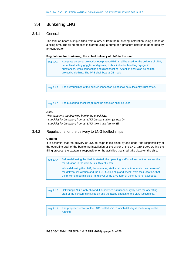### <span id="page-23-0"></span>3.4 Bunkering LNG

### 3.4.1 General

The tank on board a ship is filled from a lorry or from the bunkering installation using a hose or a filling arm. The filling process is started using a pump or a pressure difference generated by an evaporator.

### **Regulations for bunkering, the actual delivery of LNG to the user**

reg 3.4.1 Adequate personal protection equipment (PPE) shall be used for the delivery of LNG, i.e. at least safety goggles and gloves, both suitable for handling cryogenic substances, while connecting and disconnecting. Attention shall also be paid to protective clothing. The PPE shall bear a CE mark.

reg 3.4.2 The surroundings of the bunker connection point shall be sufficiently illuminated.

reg 3.4.3 The bunkering checklist(s) from the annexes shall be used.

#### *Note:*

*This concerns the following bunkering checklists:*

*- checklist for bunkering from an LNG bunker station (annex D);*

*- checklist for bunkering from an LNG tank truck (annex E).*

### 3.4.2 Regulations for the delivery to LNG fuelled ships

### **General**

It is essential that the delivery of LNG to ships takes place by and under the responsibility of the operating staff of the bunkering installation or the driver of the LNG tank truck. During the filling process, the captain is responsible for the activities that shall take place on the ship.

reg 3.4.4 Before delivering the LNG is started, the operating staff shall assure themselves that the situation in the vicinity is sufficiently safe. While delivering the LNG, the operating staff shall be able to operate the controls of the delivery installation and the LNG fuelled ship and check, from their location, that the maximum permissible filling level of the LNG tank of the ship is not exceeded.

reg 3.4.5 Delivering LNG is only allowed if supervised simultaneously by both the operating staff of the bunkering installation and the acting captain of the LNG fuelled ship.

reg 3.4.6 The propeller screws of the LNG fuelled ship to which delivery is made may not be running.

PGS 33-2:2014 VERSION 1.0 (APRIL-2014) - page 24 of 58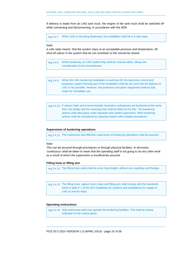If delivery is made from an LNG tank truck, the engine of the tank truck shall be switched off while connecting and disconnecting, in accordance with the ADR.

reg 3.4.7 When LNG is not being dispensed, the installation shall be in a safe state.

#### *Note:*

*A safe state means: that the system stays at an acceptable pressure and temperature. All shut-off valves in the system that do not contribute to this should be closed.* 

reg 3.4.8 While bunkering, an LNG fuelled ship shall be moored safely, taking into consideration local circumstances.

| reg 3.4.9 | When the LNG bunkering installation is switched off, the electronic control and           |
|-----------|-------------------------------------------------------------------------------------------|
|           | protection system forming part of the installation shall be set such that the delivery of |
|           | LNG is not possible. However, the protection and alarm equipment shall be fully           |
|           | ready for immediate use.                                                                  |

| reg 3.4.10 If various fuels and environmentally hazardous substances are bunkered at the same |
|-----------------------------------------------------------------------------------------------|
| time, the facility and the receiving ship shall be fitted out for this. The bunkering         |
| actions shall take place under separate and careful supervision. Both bunkering               |
| actions shall be considered as separate actions with suitable procedures.                     |

#### **Supervision of bunkering operations**

reg 3.4.11 The continuous and effective supervision of bunkering operations shall be assured.

### *Note:*

*This can be assured through procedures or through physical facilities. In all events, 'continuous' shall be taken to mean that the operating staff is not going to do any other work as a result of which the supervision is insufficiently assured.*

#### **Filling hose or filling arm**

reg 3.4.12 The filling hose used shall be a one hose length, without any couplings and flanges.

reg 3.4.13 The filling hose, vapour return hose and filling arm shall comply with the standards listed in table F.1 of the ISO Guidelines for systems and installations for supply of LNG as fuel for ships.

### **Operating instructions**

reg 3.4.14 Only authorised staff may operate the bunkering facilities. This shall be clearly indicated on the control panel.

PGS 33-2:2014 VERSION 1.0 (APRIL-2014) - page 25 of 58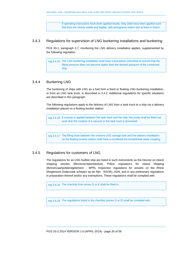If operating instructions have been applied locally, they shall have been applied such that they are clearly visible and legible, with pictograms and/or text at least in Dutch.

### 3.4.3 Regulations for supervision of LNG bunkering installations and bunkering

PGS 33-1, paragraph 3.7, monitoring the LNG delivery installation applies, supplemented by the following regulation.

reg 3.4.15 The LNG bunkering installation shall have a procedure (checklist) to ensure that the filling pressure does not become higher than the desired pressure of the connected ship.

### 3.4.4 Bunkering LNG

The bunkering of ships with LNG as a fuel from a fixed or floating LNG bunkering installation, or from an LNG tank truck, is described in 3.4.2. Additional regulations for specific situations are described in this paragraph.

The following regulations apply to the delivery of LNG from a tank truck to a ship via a delivery installation placed on a floating bunker station:

reg 3.4.16 If a pump is applied between the tank truck and the ship, the pump shall be fitted out such that the creation of a vacuum in the tank truck is prevented.

reg 3.4.17 The filling hose between the onshore LNG storage tank and the delivery installation on the floating bunker station shall have a combined dry-break/break-away coupling.

### 3.4.5 Regulations for customers of LNG

The regulations for an LNG fuelled ship are listed in such instruments as the Decree on inland shipping vessels (Binnenschepenbesluit), Police regulations for inland shipping (Binnenvaartpolitieregelement - BPR), Inspection regulations for vessels on the Rhine (Reglement Onderzoek schepen op de Rijn - RSOR), ADN, and in any preliminary regulations in preparation thereof and/or any exemptions. These regulations shall be complied with.

reg 3.4.18 The checklist from annex D or E shall be filled in.

reg 3.4.19 The regulations listed in the checklist (annex D or E) shall be complied with.

PGS 33-2:2014 VERSION 1.0 (APRIL-2014) - page 26 of 58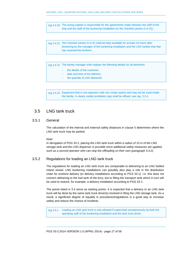reg 3.4.20 The acting captain is responsible for the agreements made between the staff of the ship and the staff of the bunkering installation (in the checklist (annex D or E)).

reg 3.4.21 The checklist (annex D or E) shall be kept available for at least 24 hours after bunkering by the manager of the bunkering installation and the LNG fuelled ship that has received the bunkers.

reg 3.4.22 The facility manager shall register the following details for all deliveries:

- the details of the customer;
- date and time of the delivery;
- the quantity of LNG delivered.

reg 3.4.23 Equipment that is not explosion safe can create sparks and may not be used inside the facility. A clearly visible prohibition sign shall be affixed, see reg. 3.2.4.

### <span id="page-26-0"></span>3.5 LNG tank truck

### 3.5.1 General

The calculation of the internal and external safety distances in clause 5 determines where the LNG tank truck may be parked.

*Note:*

*In derogation of PGS 33-1, placing the LNG tank truck within a radius of 10 m of the LNG storage tank and the LNG dispenser is possible since additional safety measures are applied, such as a second operator who can stop the offloading on their own (paragraph 3.4.2).*

### 3.5.2 Regulations for loading an LNG tank truck

The regulations for loading an LNG tank truck are comparable to delivering to an LNG fuelled inland vessel. LNG bunkering installations can possibly also play a role in the distribution chain for onshore delivery (to delivery installations according to PGS 33-1). I.e. this does not concern delivering to the fuel tank of the lorry, but to filling the transport tank which in turn will be used to restock, for example, a delivery installation according to PGS 33-1.

The points listed in 3.4 serve as starting points. It is expected that a delivery to an LNG tank truck will be done by the same tank truck driver(s) involved in filing the LNG storage tank. As a result, a significant degree of equality in procedures/regulations is a good way to increase safety and reduce the chance of incidents.

reg 3.5.1 Loading an LNG tank truck is only allowed if supervised simultaneously by both the operating staff of the bunkering installation and the tank truck driver.

PGS 33-2:2014 VERSION 1.0 (APRIL-2014) - page 27 of 58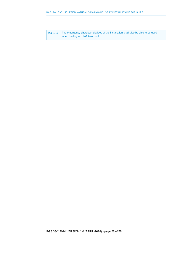reg 3.5.2 The emergency shutdown devices of the installation shall also be able to be used when loading an LNG tank truck.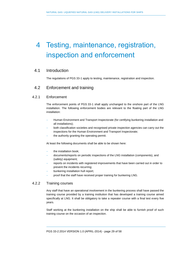# <span id="page-28-0"></span>4 Testing, maintenance, registration, inspection and enforcement

### 4.1 Introduction

<span id="page-28-2"></span><span id="page-28-1"></span>The regulations of PGS 33-1 apply to testing, maintenance, registration and inspection.

### 4.2 Enforcement and training

### 4.2.1 Enforcement

The enforcement points of PGS 33-1 shall apply unchanged to the onshore part of the LNG installation. The following enforcement bodies are relevant to the floating part of the LNG installation:

- Human Environment and Transport Inspectorate (for certifying bunkering installation and all installations);
- both classification societies and recognised private inspection agencies can carry out the inspections for the Human Environment and Transport Inspectorate;
- the authority granting the operating permit.

At least the following documents shall be able to be shown here:

- the installation book;
- documents/reports on periodic inspections of the LNG installation (components), and (safety) equipment;
- reports on incidents with registered improvements that have been carried out in order to prevent the incidents recurring;
- bunkering installation hull report;
- proof that the staff have received proper training for bunkering LNG.

### 4.2.2 Training courses

Any staff that have an operational involvement in the bunkering process shall have passed the training course provided by a training institution that has developed a training course aimed specifically at LNG. It shall be obligatory to take a repeater course with a final test every five years.

Staff working at the bunkering installation on the ship shall be able to furnish proof of such training course on the occasion of an inspection.

PGS 33-2:2014 VERSION 1.0 (APRIL-2014) - page 29 of 58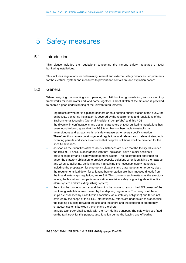# <span id="page-29-0"></span>5 Safety measures

### 5.1 Introduction

<span id="page-29-1"></span>This clause includes the regulations concerning the various safety measures of LNG bunkering installations.

This includes regulations for determining internal and external safety distances, requirements for the electrical system and measures to prevent and contain fire and explosion hazard.

### 5.2 General

<span id="page-29-2"></span>When designing, constructing and operating an LNG bunkering installation, various statutory frameworks for road, water and land come together. A brief sketch of the situation is provided to enable a good understanding of the relevant requirements:

- regardless of whether it is placed onshore or on a floating bunker station at the quay, the entire LNG bunkering installation is covered by the requirements and regulations of the Environmental Licensing (General Provisions) Act (Wabo) and this PGS;
- the diversity in configurations and design parameters of LNG bunkering installations has been found to be so great that the PGS team has not been able to establish an unambiguous and exhaustive list of safety measures for every specific situation. Therefore, this clause contains general regulations and references to relevant standards. Granting permits and licences requires that bespoke solutions shall be provided for the specific situations;
- as soon as the quantities of hazardous substances are such that the facility falls under the Brzo '99, it shall, in accordance with that legislation, have a major accidents prevention policy and a safety management system. The facility holder shall then be under the statutory obligation to provide bespoke solutions when identifying the hazards and when establishing, achieving and maintaining the necessary safety measures, including the preparation for emergency situations and drawing up an emergency plan;
- the requirements laid down for a floating bunker station are then imposed directly from the Inland waterways regulation, annex 3.8. This concerns such matters as the structural safety, the layout and compartmentalisation, electrical safety, signalling, detection, fire alarm system and fire extinguishing system;
- the ships that come to bunker and the ships that come to restock the LNG tank(s) of the bunkering installation are covered by the shipping regulations. The designs of these ships are assessed by classification societies (as a statutory obligation) and this is not covered by the scope of this PGS. Internationally, efforts are undertaken to standardise the loading coupling between the ship and the shore and the coupling of emergency shutdown systems between the ship and the shore;
- an LNG tank truck shall comply with the ADR during transport. The safety devices fitted on the tank truck for this purpose also function during the loading and offloading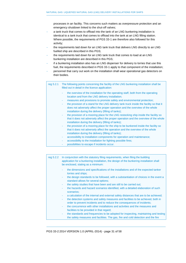processes in an facility. This concerns such matters as overpressure protection and an emergency shutdown linked to the shut-off valves;

- a tank truck that comes to offload into the tank of an LNG bunkering installation is identical to a tank truck that comes to offload into the tank at an LNG filling station. Where possible, the requirements of PGS 33-1 are therefore also followed for this activity;
- the requirements laid down for an LNG tank truck that delivers LNG directly to an LNG fuelled ship are described in this PGS;
- the requirements laid down for an LNG tank truck that comes to load at an LNG bunkering installation are described in this PGS;
- if a bunkering installation also has an LNG dispenser for delivery to lorries that use this fuel, the requirements described in PGS 33-1 apply to that component of the installation;
- personnel that carry out work on the installation shall wear operational gas detectors on their bodies.

| reg 5.2.1 | The following points concerning the facility of the LNG bunkering installation shall be<br>filled out in detail in the licence application:                                                                                                                                                                                                                                                                                                                        |  |  |  |
|-----------|--------------------------------------------------------------------------------------------------------------------------------------------------------------------------------------------------------------------------------------------------------------------------------------------------------------------------------------------------------------------------------------------------------------------------------------------------------------------|--|--|--|
|           | the overview of the installation for the operating staff, both from the operating<br>٠<br>location and from the LNG delivery installation;<br>measures and provisions to promote safety and environmental protection;<br>٠<br>the provision of a stand for the LNG delivery tank truck inside the facility so that it<br>٠<br>does not adversely affect the proper operation and the overview of the whole<br>installation during the delivery (filling of tanks); |  |  |  |
|           | the provision of a mooring place for the LNG restocking ship inside the facility so<br>٠<br>that it does not adversely affect the proper operation and the overview of the whole<br>installation during the delivery (filling of tanks);                                                                                                                                                                                                                           |  |  |  |
|           | the provision of a mooring place for the ship to be bunkered inside the facility so<br>$\sim$<br>that it does not adversely affect the operation and the overview of the whole<br>installation during the delivery (filling of tanks);                                                                                                                                                                                                                             |  |  |  |
|           | accessibility to installation components for operation and maintenance;<br>٠                                                                                                                                                                                                                                                                                                                                                                                       |  |  |  |
|           | accessibility to the installation for fighting possible fires;                                                                                                                                                                                                                                                                                                                                                                                                     |  |  |  |
|           | a a a a Haiffid a a chuid a ann an 10 fuidh an an an an an an a-                                                                                                                                                                                                                                                                                                                                                                                                   |  |  |  |

|  |  |  |  |  | possibilities to escape if incidents occur. |  |
|--|--|--|--|--|---------------------------------------------|--|
|--|--|--|--|--|---------------------------------------------|--|

| reg 5.2.2 | In conjunction with the statutory filing requirements, when filing the building<br>application for a bunkering installation, the design of the bunkering installation shall<br>be enclosed, stating as a minimum:                                                                                                                                                                                                                                                                                                                                                                                    |
|-----------|------------------------------------------------------------------------------------------------------------------------------------------------------------------------------------------------------------------------------------------------------------------------------------------------------------------------------------------------------------------------------------------------------------------------------------------------------------------------------------------------------------------------------------------------------------------------------------------------------|
|           | the dimensions and specifications of the installations and of the expected tanker<br>$\sim$<br>lorries and ships:<br>the design standards to be followed, with a substantiation of choices in the event a<br>$\sim$<br>standard allows for several options;<br>the safety studies that have been and are still to be carried out;<br>$\sim$<br>the hazards and hazard scenarios identified, with a detailed elaboration of such<br>$\sim$<br>scenarios:                                                                                                                                              |
|           | a calculation of the internal and external safety distances that are to be achieved;<br>$\sim$<br>the detection systems and safety measures and facilities to be achieved, both in<br>$\sim$<br>order to prevent incidents and to reduce the consequences of incidents;<br>the concurrence with other installations and activities and the measures and<br>$\sim$<br>facilities to be provided in that regard;<br>the standards and frequencies to be adopted for inspecting, maintaining and testing<br>$\sim$<br>the safety measures and facilities. The gas, fire and cold detection and the fire |

PGS 33-2:2014 VERSION 1.0 (APRIL-2014) - page 31 of 58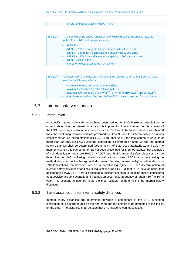#### safety facilities are also included in this.

| reg $5.2.3$ | In the context of the above regulation, the following standards shall at least be<br>applied to an LNG bunkering installation: |                                                                                                                                                                                                                                                                                             |  |
|-------------|--------------------------------------------------------------------------------------------------------------------------------|---------------------------------------------------------------------------------------------------------------------------------------------------------------------------------------------------------------------------------------------------------------------------------------------|--|
|             | ٠<br>$\blacksquare$<br>٠<br>۰.<br>٠                                                                                            | <b>PGS 33-2:</b><br>NEN-EN 1160 as regards the hazard characteristics of LNG;<br>NEN-EN 13645 for installations of a capacity up to 200 tons;<br>NEN-EN 1473 for installations of a capacity of 200 tons or more;<br><b>NEN-EN-ISO 28460:</b><br>the other relevant standards from annex F. |  |

| reg 5.2.4 | The elaboration of the hazards and scenarios referred to in reg 5.2.2 shall at least<br>describe the following effects:                                                                                                                                                                              |
|-----------|------------------------------------------------------------------------------------------------------------------------------------------------------------------------------------------------------------------------------------------------------------------------------------------------------|
|           | cryogenic effects on people and materials;<br>oxygen displacement by the release of LNG;<br>heat radiation contours of 1 kW/m <sup>2 and</sup> 3 kW/m <sup>2</sup> and 10 kW/m <sup>2</sup> and 35 kW/m <sup>2</sup> ;<br>the distance at which 50% and 100% of LEL value is reached for gas clouds. |
|           |                                                                                                                                                                                                                                                                                                      |

### <span id="page-31-0"></span>5.3 Internal safety distances

### 5.3.1 Introduction

No specific internal safety distances have been derived for LNG bunkering installations. In order to determine the internal distances, it is important to know whether the total content of the LNG bunkering installation is more or less than 50 tons. If the total content is less than 50 tons, the bunkering installation is not governed by Brzo '99 and the internal safety distances established for LNG filling stations (PGS 33-1) are observed. If the total content is equal to or more than 50 tons, the LNG bunkering installation is governed by Brzo '99 and the internal safety distances shall be determined (see annex III of Brzo '99, paragraphs 1e and 1g). The manner in which this can be done has not been prescribed for Brzo '99 facilitys, but examples of risk identification tools are HAZID, HAZOP and FMEA. Internal safety distances can be determined for LNG bunkering installations with a total content of 50 tons or more, using the method described in the background document 'Bepaling interne veiligheidsafstanden voor LNG-tankstations ten behoeve van de in ontwikkeling zijnde PGS 33' (Determination of internal safety distances for LNG filling stations for PGS 33 that is in development) that accompanies PGS 33-1. Here a foreseeable accident scenario is selected that is considered as a decisive accident scenario and that has an occurrence frequency of roughly 10<sup>-3</sup> to 10<sup>-5</sup> a year. This scenario is deemed to be the most suitable for determining the internal safety distances.

### 5.3.2 Basic assumptions for internal safety distances

Internal safety distances are determined between a component of the LNG bunkering installation as a hazard source on the one hand and the objects to be protected in the facility on the other. The distances shall be such that LNG incidents cannot escalate.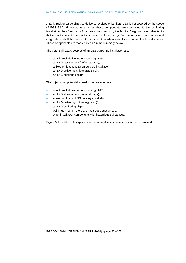A tank truck or cargo ship that delivers, receives or bunkers LNG is not covered by the scope of PGS 33-2. However, as soon as these components are connected to the bunkering installation, they form part of, i.e. are components of, the facility. Cargo tanks or other tanks that are not connected are not components of the facility. For this reason, tanker lorries and cargo ships shall be taken into consideration when establishing internal safety distances. These components are marked by an \* in the summary below.

The potential hazard sources of an LNG bunkering installation are:

- a tank truck delivering or receiving LNG\*;
- an LNG storage tank (buffer storage);
- a fixed or floating LNG an delivery installation;
- an LNG delivering ship (cargo ship)\*;
- an LNG bunkering ship\*.

The objects that potentially need to be protected are:

- a tank truck delivering or receiving LNG\*;
- an LNG storage tank (buffer storage);
- a fixed or floating LNG delivery installation;
- an LNG delivering ship (cargo ship)\*;
- an LNG bunkering ship\*;
- buildings in which there are hazardous substances;
- other installation components with hazardous substances.

Figure 5.1 and the note explain how the internal safety distances shall be determined.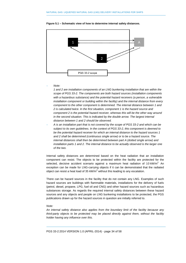

#### **Figure 5.1 – Schematic view of how to determine internal safety distances.**

*Note:*

*1 and 2 are installation components of an LNG bunkering installation that are within the scope of PGS 33-2. The components are both hazard sources (installation components with a hazardous substance) and the potential hazard receivers (a person, a vulnerable installation component or building within the facility) and the internal distance from every component to the other component is determined. The internal distance between 1 and 2 is calculated twice. In the first situation, component 1 is the hazard source and component 2 is the potential hazard receiver, whereas this will be the other way around in the second situation. This is indicated by the double arrow. The largest internal distance between 1 and 2 should be observed.*

 *A is an installation part that is not covered by the scope of PGS 33-2 and which can be subject to its own guidelines. In the context of PGS 33-2, this component is deemed to be the potential hazard receiver for which an internal distance to the hazard sources 1 and 2 shall be determined (continuous single arrow) or to be a hazard source. The internal distances shall then be determined between part A (dotted single arrow) and installation parts 1 and 2. The internal distance to be actually observed is the larger one of the two.* 

Internal safety distances are determined based on the heat radiation that an installation component can resist. The objects to be protected within the facility are protected for the selected, decisive accident scenario against a maximum heat radiation of 10 kW/ $m^2$  An exception can be made for LNG-carrying objects if it can be demonstrated that the radiated object can resist a heat load of 35 kW/ $m<sup>2</sup>$  without this leading to any escalation.

There can be hazard sources in the facility that do not contain any LNG. Examples of such hazard sources are buildings with flammable materials, installations for the delivery of fuels (petrol, diesel, propane, LPG, fuel oil and CNG) and other hazard sources such as hazardous substances storage. As regards the required internal safety distances between these hazard sources and any objects and people on LNG bunkering installations to be protected, the PGS publications drawn up for the hazard sources in question are initially referred to.

#### *Note:*

*An internal safety distance also applies from the boundary limit of the facility because any third-party objects to be protected may be placed directly against them, without the facility holder having any influence over this.*

PGS 33-2:2014 VERSION 1.0 (APRIL-2014) - page 34 of 58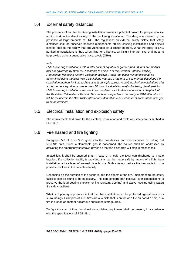### 5.4 External safety distances

<span id="page-34-0"></span>The presence of an LNG bunkering installation involves a potential hazard for people who live and/or work in the direct vicinity of the bunkering installation. The danger is caused by the presence of large amounts of LNG. The regulations on external safety dictate that safety distances shall be observed between (components of) risk-causing installations and objects located outside the facility that are vulnerable (to a limited degree). What will apply to LNG bunkering installations is that, when filing for a licence, an insight into the risks shall need to be provided using a quantitative risk analysis (QRA).

### *Note:*

*LNG bunkering installations with a total content equal to or greater than 50 tons are facilitys that are governed by Brzo '99. According to article 7 of the External Safety (Facilitys) Regulations (Regeling externe veiligheid facilitys (Revi)), the place-related risk shall be determined using the Bevi Risk Calculations Manual. Chapter 1 of this manual describes the calculation method for Brzo facilitys and in principle applies to LNG bunkering installations with a total content equal to or greater than 50 tons. A calculation method is being developed for LNG bunkering installations that shall be considered as a further elaboration of chapter 1 of the Bevi Risk Calculations Manual. This method is expected to be ready in 2014 after which it will be included in the Bevi Risk Calculations Manual as a new chapter at some future time yet to be determined.*

### 5.5 Electrical installation and explosion safety

<span id="page-34-1"></span>The requirements laid down for the electrical installation and explosion safety are described in PGS 33-1.

### 5.6 Fire hazard and fire fighting

<span id="page-34-2"></span>Paragraph 5.6 of PGS 33-1 goes into the possibilities and impossibilities of putting out NG/LNG fires. Since a flammable gas is concerned, the source shall be addressed by activating the emergency shutdown device so that the discharge will stop in most cases.

In addition, it shall be ensured that, in case of a leak, the LNG can discharge to a safe location. If a collection facility is provided, this can be made safe by means of a light foam installation or by a layer of foamed glass blocks. Both solutions reduce the heat radiation of a possible pool fire in the collection facility.

Depending on the duration of the scenario and the effects of the fire, implementing fire safety facilities can be found to be necessary. This can concern both passive (over-dimensioning to preserve the load-bearing capacity or fire-resistant clothing) and active (cooling using water) fire safety facilities.

What is of primary importance is that the LNG installation can be protected against fires in its surroundings. Examples of such fires are a vehicle that is on fire or a fire on board a ship, or a fire in a shop or another hazardous substance storage area.

To fight the start of fires, handheld extinguishing equipment shall be present, in accordance with the specifications of PGS 33-1.

PGS 33-2:2014 VERSION 1.0 (APRIL-2014) - page 35 of 58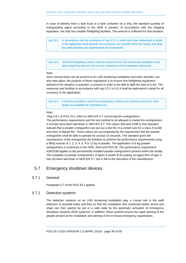In case of delivery from a tank truck or a tank container on a ship, the standard quantity of extinguishing agent according to the ADR is present. In accordance with the shipping legislation, the ship has suitable firefighting facilities. This amount is sufficient for that situation.

reg 5.6.1 In accordance with the provisions of reg 5.2.2, it shall have been elaborated in detail in the application what hazards and scenarios are possible within the facility and what fire safety facilities are implemented and maintained.

reg 5.6.2 Sufficient firefighting means shall be present at the LNG bunkering installation to be able to fight the start of a fire on any component of the installation effectively.

#### *Note:*

*Since several fuels can be present at an LNG bunkering installation and other activities can also take place, the purpose of these regulations is to ensure that firefighting equipment, tailored to the situation in question, is present in order to be able to fight the start of a fire. The measures and facilities in accordance with reg 5.2.1 to 5.2.4 shall be elaborated in detail for all scenarios in the application.*

reg 5.6.3 It shall be possible to reach fire extinguishers without any hindrance and they shall always be available for immediate use.

### *Note:*

*Reg 5.6.1 of PGS 33-1 refers to NEN-EN 3-7 concerning fire extinguishers. The performance requirements and the test method to be allowed to market fire extinguishers in Europe have been laid down in NEN-EN 3-7. The values 43A and 233B in that standard indicate that a powder extinguisher can put out a test fire of a certain size for a class A (solid) and class B (liquid) fire. These values are accompanied by the requirement that the powder extinguisher shall be able to operate for at least 15 seconds. The standard gives the manufacturer of the extinguisher the freedom to achieve the performance requirements using a filling volume of 1, 2, 3, 4, 6, 9 or 12 kg of powder. The application of 6-kg powder extinguishers is customary in the ADR, ADN and PGS 28. The performance requirement 43A/233B applies to the permanently installed powder extinguishers present within the facility. The suitability of powder extinguishers of types A and/or B for putting out (gas) fires of type C has not been laid down in NEN-EN 3-7, but is left to the discretion of the manufacturer.*

### <span id="page-35-0"></span>5.7 Emergency shutdown devices

### 5.7.1 General

Paragraph 5.7 of the PGS 33-1 applies.

### 5.7.2 Detection systems

The detection systems on an LNG bunkering installation play a crucial role in the swift detection of possible leaks and fires so that the installation and connected tanker lorries and ships can then quickly be put in a safe state by the automatic activation of Emergency Shutdown Systems (ESD systems). In addition, these systems ensure the rapid warning of the people present at the installation and alerting of the in-house emergency organisation.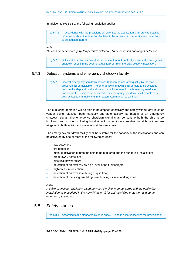#### In addition to PGS 33-1, the following regulation applies.

reg 5.7.1 In accordance with the provisions of reg 5.2.2, the application shall provide detailed information about the detection facilities to be achieved in the facility and the actions to be coupled thereto.

#### *Note:*

*This can be achieved e.g. by temperature detection, flame detection and/or gas detection.*

reg 5.7.2 Sufficient detection means shall be present that automatically activate the emergency shutdown circuit in the event of a gas leak or fire in the LNG delivery installation.

### 5.7.3 Detection systems and emergency shutdown facility

reg 5.7.3 Several emergency shutdown devices that can be operated quickly by the staff present shall be available. The emergency shutdown shall be able to be activated both on the ship and on the shore and shall intervene in the bunkering installation and on the LNG ship to be bunkered. The emergency shutdown shall be able to be both activated manually and in an automated manner at all times.

The bunkering operation will be able to be stopped effectively and safely without any liquid or vapour being released, both manually and automatically, by means of an emergency shutdown signal. The emergency shutdown signal shall be sent to both the ship to be bunkered and to the bunkering installation in order to ensure that the right actions are triggered in both individual installations at the same time.

The emergency shutdown facility shall be suitable for the capacity of the installations and can be activated by one or more of the following sources:

- gas detection;
- fire detection;
- manual activation of both the ship to be bunkered and the bunkering installation;
- break-away detection;
- electrical power failure;
- detection of an excessively high level in the fuel tank(s);
- high-pressure detection;
- detection of an excessively large liquid flow;
- detection of the filling arm/filling hose leaving its safe working zone.

#### *Note:*

*A cable connection shall be created between the ship to be bunkered and the bunkering installation as prescribed in the ADN (chapter 9) for anti-overfilling protection and pump emergency shutdown.* 

### 5.8 Safety studies

<span id="page-36-0"></span>reg 5.8.1 According to the standards listed in annex B, and in accordance with the provisions of

PGS 33-2:2014 VERSION 1.0 (APRIL-2014) - page 37 of 58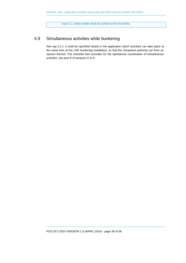reg 5.2.2, safety studies shall be carried out for the facility.

### 5.9 Simultaneous activities while bunkering

<span id="page-37-0"></span>See reg 5.2.1. It shall be specified clearly in the application which activities can take place at the same time at the LNG bunkering installation, so that the competent authority can form an opinion thereof. The checklist then provides for the operational coordination of simultaneous activities, see part B of annexes D or E.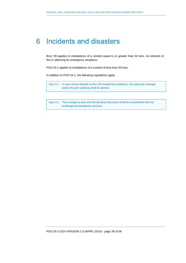# <span id="page-38-0"></span>6 Incidents and disasters

Brzo '99 applies to installations of a content equal to or greater than 50 tons. An element of this is 'planning for emergency situations'.

PGS 33-1 applies to installations of a content of less than 50 tons.

In addition to PGS 33-1, the following regulations apply.

reg 6.1.1 In case of any disaster at the LNG bunkering installation, the waterway manager and/or the port authority shall be alerted.

reg 6.1.2 The emergency plan and the alerting instructions shall be coordinated with the local/regional emergency services.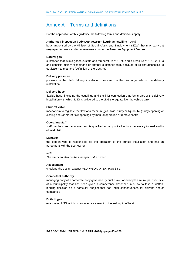### <span id="page-39-0"></span>Annex A Terms and definitions

For the application of this guideline the following terms and definitions apply.

#### **Authorised inspection body (Aangewezen keuringsinstelling – AKI)**

body authorised by the Minister of Social Affairs and Employment (SZW) that may carry out (re)inspection work and/or assessments under the Pressure Equipment Decree

#### **Natural gas**

substance that is in a gaseous state at a temperature of 15 °C and a pressure of 101.325 kPa and consists mainly of methane or another substance that, because of its characteristics, is equivalent to methane (definition of the Gas Act)

#### **Delivery pressure**

pressure in the LNG delivery installation measured on the discharge side of the delivery installation

#### **Delivery hose**

flexible hose, including the couplings and the filler connection that forms part of the delivery installation with which LNG is delivered to the LNG storage tank or the vehicle tank

#### **Shut-off valve**

mechanism to regulate the flow of a medium (gas, solid, slurry or liquid), by (partly) opening or closing one (or more) flow openings by manual operation or remote control

#### **Operating staff**

staff that has been educated and is qualified to carry out all actions necessary to load and/or offload LNG

### **Manager**

the person who is responsible for the operation of the bunker installation and has an agreement with the user/owner

#### *Note:*

*The user can also be the manager or the owner.*

### **Assessment**

checking the design against PED, WBDA, ATEX, PGS 33-1

### **Competent authority**

managing body of a corporate body governed by public law, for example a municipal executive of a municipality that has been given a competence described in a law to take a written, binding decision on a particular subject that has legal consequences for citizens and/or companies

#### **Boil-off gas**

evaporated LNG which is produced as a result of the leaking in of heat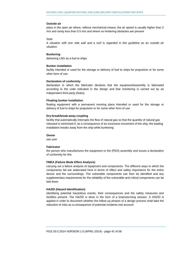#### **Outside air**

place in the open air where, without mechanical means, the air speed is usually higher than 2 m/s and rarely less than 0.5 m/s and where no hindering obstacles are present

### *Note:*

*A situation with one side wall and a roof is regarded in this guideline as an outside air situation.*

### **Bunkering**

delivering LNG as a fuel to ships

#### **Bunker installation**

facility intended or used for the storage or delivery of fuel to ships for propulsion or for some other form of use

#### **Declaration of conformity**

declaration in which the fabricator declares that the equipment/assembly is fabricated according to the code indicated in the design and that monitoring is carried out by an independent third party (Nobo)

#### **Floating bunker installation**

floating equipment with a permanent mooring place intended or used for the storage or delivery of fuel to ships for propulsion or for some other form of use

### **Dry-break/break-away coupling**

facility that automatically interrupts the flow of natural gas so that the quantity of natural gas released is minimised if, as a consequence of an excessive movement of the ship, the loading installation breaks away from the ship while bunkering

#### **Owner**

see user

#### **Fabricator**

the person who manufactures the equipment or the (PED) assembly and issues a declaration of conformity for this

### **FMEA (Failure Mode Effect Analysis)**

carrying out a failure analysis of equipment and components. The different ways in which the components fail are elaborated here in terms of effect and safety importance for the entire device and the surroundings. The vulnerable components can then be identified and any supplementary requirements for the reliability of the vulnerable and critical components can be laid down

#### **HAZID (Hazard Identification)**

identifying potential hazardous events, their consequences and the safety measures and facilities present. The HAZID is done in the form of a brainstorming session. A HAZID is applied in order to document whether the follow-up phases of a design process shall take the reduction of risks as a consequence of potential incidents into account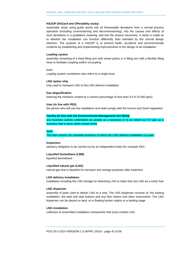### **HAZOP (HAZard and OPerability study)**

systematic study using guide words into all foreseeable deviations from a normal process operation (including commissioning and decommissioning), into the causes and effects of such deviations in a qualitative meaning, and into the actions necessary. A study is made as to whether the installation can function differently than intended by the normal design intention. The purpose of a HAZOP is to prevent faults, accidents and (environmental) incidents by establishing and implementing improvements to the design of an installation

#### **Loading system**

assembly consisting of a fixed filling arm with swivel points or a filling arm with a flexible filling hose to facilitate coupling and/or uncoupling

*Note:*

*Loading system sometimes also refers to a single hose.*

#### **LNG tanker ship**

ship used to transport LNG to the LNG delivery installation

#### **Gas degasification**

lowering the methane content to a volume percentage of less than 0.5 % (5 000 ppm)

#### **User (in line with PED)**

the person who will use the installation and shall comply with the licence and Dutch legislation

### **Facility (in line with the Environmental Management Act (Wm))**

any business activity undertaken by people as a business or to an extent as if it was as a business that is done within certain limits

### *Note:*

*This then means the complete business of which the LNG delivery installation is a part.*

#### **Inspection**

statutory obligation to be carried out by an independent body (for example AKI)

#### **Liquefied biomethane (LBM)**

liquefied biomethane

### **Liquefied natural gas (LNG)**

natural gas that is liquefied for transport and storage purposes after treatment

#### **LNG delivery installation**

installation including the LNG storage for delivering LNG to ships that use LNG as a motor fuel

#### **LNG dispenser**

assembly of parts used to deliver LNG to a ship. The LNG dispenser consists of: the loading installation, the start and stop buttons and any flow meters and other instruments. The LNG dispenser can be placed on land, on a floating bunker station or a landing stage

### **LNG installation**

collection of assembled installation components that (can) contain LNG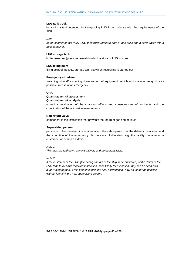#### **LNG tank truck**

lorry with a tank intended for transporting LNG in accordance with the requirements of the ADR

### *Note:*

*In the context of this PGS, LNG tank truck refers to both a tank truck and a semi-trailer with a tank container.*

### **LNG storage tank**

buffer/reservoir (pressure vessel) in which a stock of LNG is stored

### **LNG filling point**

filling point of the LNG storage tank via which restocking is carried out

### **Emergency shutdown**

switching off and/or shutting down an item of equipment, vehicle or installation as quickly as possible in case of an emergency

### **QRA**

### **Quantitative risk assessment**

### **Quantitative risk analysis**

numerical evaluation of the chances, effects and consequences of accidents and the combination of these in risk measurements

#### **Non-return valve**

component in the installation that prevents the return of gas and/or liquid

#### **Supervising person**

person who has received instructions about the safe operation of the delivery installation and the execution of the emergency plan in case of disasters, e.g. the facility manager or a customer, for example a driver

*Note 1:*

*This must be laid down administratively and be demonstrable.* 

*Note 2:*

*If the customer of the LNG (the acting captain of the ship to be bunkered) or the driver of the LNG tank truck have received instruction, specifically for a location, they can be seen as a supervising person. If this person leaves the site, delivery shall now no longer be possible without identifying a new supervising person.*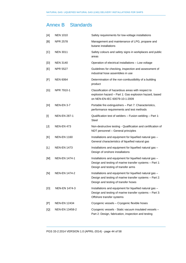## <span id="page-43-0"></span>Annex B Standards

| [A]             | <b>NEN 1010</b>      | Safety requirements for low-voltage installations                                                                                                          |
|-----------------|----------------------|------------------------------------------------------------------------------------------------------------------------------------------------------------|
| [B]             | <b>NPR 2578</b>      | Management and maintenance of LPG, propane and<br>butane installations                                                                                     |
| [C]             | <b>NEN 3011</b>      | Safety colours and safety signs in workplaces and public<br>areas                                                                                          |
| [D]             | <b>NEN 3140</b>      | Operation of electrical installations - Low voltage                                                                                                        |
| [E]             | <b>NPR 5527</b>      | Guidelines for checking, inspection and assessment of<br>industrial hose assemblies in use                                                                 |
| [F]             | <b>NEN 6064</b>      | Determination of the non-combustibility of a building<br>product                                                                                           |
| [G]             | NPR 7910-1           | Classification of hazardous areas with respect to<br>explosion hazard - Part 1: Gas explosion hazard, based<br>on NEN-EN-IEC 60079-10-1:2009               |
| [H]             | <b>NEN-EN 3-7</b>    | Portable fire extinguishers - Part 7: Characteristics,<br>performance requirements and test methods                                                        |
| $[1]$           | <b>NEN-EN 287-1</b>  | Qualification test of welders - Fusion welding - Part 1:<br><b>Steel</b>                                                                                   |
| [J]             | <b>NEN-EN 473</b>    | Non-destructive testing - Qualification and certification of<br>NDT personnel - General principles                                                         |
| [K]             | <b>NEN-EN 1160</b>   | Installations and equipment for liquefied natural gas -<br>General characteristics of liquefied natural gas                                                |
| $[{\mathsf L}]$ | <b>NEN-EN 1473</b>   | Installations and equipment for liquefied natural gas -<br>Design of onshore installations                                                                 |
| [M]             | <b>NEN-EN 1474-1</b> | Installations and equipment for liquefied natural gas -<br>Design and testing of marine transfer systems - Part 1:<br>Design and testing of transfer arms  |
| [N]             | NEN-EN 1474-2        | Installations and equipment for liquefied natural gas -<br>Design and testing of marine transfer systems - Part 2:<br>Design and testing of transfer hoses |
| [O]             | NEN-EN 1474-3        | Installations and equipment for liquefied natural gas -<br>Design and testing of marine transfer systems - Part 3:<br>Offshore transfer systems            |
| [P]             | <b>NEN-EN 12434</b>  | Cryogenic vessels - Cryogenic flexible hoses                                                                                                               |
| [Q]             | NEN-EN 13458-2       | Cryogenic vessels - Static vacuum insulated vessels -<br>Part 2: Design, fabrication, inspection and testing                                               |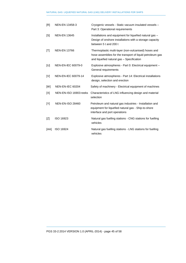| [R]  | NEN-EN 13458-3            | Cryogenic vessels - Static vacuum insulated vessels -<br>Part 3: Operational requirements                                                                      |
|------|---------------------------|----------------------------------------------------------------------------------------------------------------------------------------------------------------|
| [S]  | <b>NEN-EN 13645</b>       | Installations and equipment for liquefied natural gas -<br>Design of onshore installations with a storage capacity<br>between 5 t and 200 t                    |
| [T]  | <b>NEN-EN 13766</b>       | Thermoplastic multi-layer (non-vulcanised) hoses and<br>hose assemblies for the transport of liquid petroleum gas<br>and liquefied natural gas - Specification |
| [U]  | <b>NEN-EN-IEC 60079-0</b> | Explosive atmospheres - Part 0: Electrical equipment -<br>General requirements                                                                                 |
| [V]  | NEN-EN-IEC 60079-14       | Explosive atmospheres - Part 14: Electrical installations<br>design, selection and erection                                                                    |
| [W]  | <b>NEN-EN-IEC 60204</b>   | Safety of machinery - Electrical equipment of machines                                                                                                         |
| [X]  | NEN-EN-ISO 16903:reeks    | Characteristics of LNG influencing design and material<br>selection                                                                                            |
| [Y]  | <b>NEN-EN-ISO 28460</b>   | Petroleum and natural gas industries - Installation and<br>equipment for liquefied natural gas - Ship-to-shore<br>interface and port operations                |
| [Z]  | ISO 16923                 | Natural gas fuelling stations - CNG stations for fuelling<br>vehicles                                                                                          |
| [AA] | ISO 16924                 | Natural gas fuelling stations - LNG stations for fuelling<br>vehicles                                                                                          |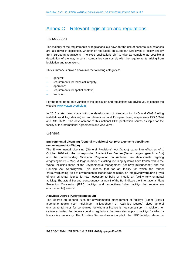## <span id="page-45-0"></span>Annex C Relevant legislation and regulations

### Introduction

The majority of the requirements or regulations laid down for the use of hazardous substances are laid down in legislation, whether or not based on European Directives or follow directly from European regulations. The PGS publications aim to give as complete as possible a description of the way in which companies can comply with the requirements arising from legislation and regulations.

This summary is broken down into the following categories:

- general;
- requirements for technical integrity;
- operation;
- requirements for spatial context;
- transport.

For the most up-to-date version of the legislation and regulations we advise you to consult the websit[e www.wetten.overheid.nl.](http://www.wetten.overheid.nl/)

In 2010 a start was made with the development of standards for LNG and CNG fuelling installations (filling stations) on an international and European level, respectively ISO 16924 and ISO 16923. The development of this national PGS publication serves as input for the facility of the international agreements and vice versa.

### General

### **Environmental Licensing (General Provisions) Act (Wet algemene bepalingen omgevingsrecht – Wabo)**

The Environmental Licensing (General Provisions) Act (Wabo) came into effect as of 1 October 2010 with the corresponding Ambient Law Decree (Besluit omgevingsrecht – Bor) and the corresponding Ministerial Regulation on Ambient Law (Ministeriële regeling omgevingsrecht – Mor). A large number of existing licensing systems have transferred to the Wabo, including those of the Environmental Management Act (Wet milieubeheer) and the Housing Act (Woningwet). This means that for an facility for which the former 'milieuvergunning' type of environmental licence was required, an 'omgevingsvergunning' type of environmental licence is now necessary to build or modify an facility (environmental activity). The actual Bor and, consequently, annex 1 of the Bor indicate the 'International Plant Protection Convention (IPPC) facilitys' and respectively 'other facilitys that require a(n environmental) licence'.

#### **Activities Decree (Activiteitenbesluit)**

The Decree on general rules for environmental management of facilitys (Barim (Besluit algemene regels voor inrichtingen milieubeheer) or Activities Decree) gives general environmental rules for companies for whom a licence is not compulsory. In addition, for certain activities, the decree contains regulations that may also apply to facilitys for which a licence is compulsory. The Activities Decree does not apply to the IPPC facilitys referred to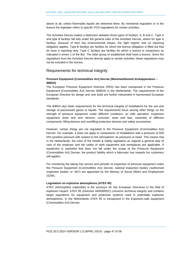above at all, unless flammable liquids are delivered there. By ministerial regulation or in the licence the legislator refers to specific PGS regulations for certain activities.

The Activities Decree makes a distinction between three types of facilitys: A, B and C. Type A and type B facilitys fall fully under the general rules of the Activities Decree, where for type A facilitys, because of their low environmental impact, the 'light regime' and no reporting obligation applies. Type B facilitys are facilitys for which the licence obligation is lifted but that do have a reporting duty. Type C facilitys are facilitys for which a licence is compulsory as indicated in annex 1 of the Bor. The latter group of established shall have a licence. Since the regulations from the Activities Decree directly apply to certain activities, these regulations may not be included in the licence.

### Requirements for technical integrity

### **Pressure Equipment (Commodities Act) Decree (Warenwetbesluit drukapparatuur – WBDA)**

The European Pressure Equipment Directive (PED) has been transposed in the Pressure Equipment (Commodities Act) Decree (WBDA) in the Netherlands. The requirements of the European Directive for design and new build are further interpreted in harmonised European standards.

The WBDA lays down requirements for the technical integrity of installations for the use and storage of pressurised gases or liquids. The requirements focus among other things on the strength of pressure equipment under different conditions, on safe operation, inspection equipment, drain and vent devices, corrosion, wear and tear, assembly of different components, filling devices and overfilling protection devices and safety accessories.

However, certain things are not regulated in the Pressure Equipment (Commodities Act) Decree. For example, it does not apply to components of installations with a pressure of 500 hPa (positive pressure with respect to the atmospheric air pressure) or lower. This means that in the Netherlands, the rules of the Health & Safety legislation as regards a general duty of care of the employer and the safety of work equipment and workplaces are applicable. If equipment is marketed that does not fall under the scope of the Pressure Equipment (Commodities Act) Decree, the product liability which a fabricator has towards his customers still applies.

For monitoring the taking into service and periodic re-inspection of pressure equipment under the Pressure Equipment (Commodities Act) Decree, national inspection bodies ('authorised inspection bodies' or 'AKI') are appointed by the Ministry of Social Affairs and Employment (SZW).

### **Legislation on explosive atmospheres (ATEX 95)**

ATEX (Atmosphère explosible) is the synonym for two European Directives in the field of explosion hazard. ATEX 95 (Directive 94/009/EEC) concerns technical integrity and contains target regulations for equipment and protective systems used in potentially explosive atmospheres. In the Netherlands ATEX 95 is transposed in the Explosion-safe equipment (Commodities Act) Decree.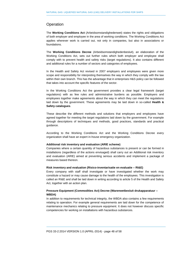### **Operation**

The **Working Conditions Act** (Arbeidsomstandighedenwet) states the rights and obligations of both employer and employee in the area of working conditions. The Working Conditions Act applies wherever work is carried out, not only in companies, but also in associations or foundations.

The **Working Conditions Decree** (Arbeidsomstandighedenbesluit), an elaboration of the Working Conditions Act, sets out further rules which both employer and employee shall comply with to prevent health and safety risks (target regulations). It also contains different and additional rules for a number of sectors and categories of employees.

In the Health and Safety Act revised in 2007 employers and employees were given more scope and responsibility for interpreting themselves the way in which they comply with the law within their own branch. This has the advantage that in enterprises H&S policy can be followed that takes into account the specific features of the sector.

In the Working Conditions Act the government provides a clear legal framework (target regulations) with as few rules and administrative burdens as possible. Employers and employees together make agreements about the way in which they can meet the regulations laid down by the government. These agreements may be laid down in so-called **Health & Safety catalogues**.

These describe the different methods and solutions that employers and employees have agreed together for meeting the target regulations laid down by the government. For example through descriptions of techniques and methods, good practices, standards and practical guidance.

According to the Working Conditions Act and the Working Conditions Decree every organization shall have an expert in-house emergency organization.

### **Additional risk inventory and evaluation (ARIE scheme)**

Companies where a certain quantity of hazardous substances is present or can be formed in installations (regardless of the actions envisaged) shall carry out an Additional risk inventory and evaluation (ARIE) aimed at preventing serious accidents and implement a package of measures based thereon.

### **Risk inventory and evaluation (Risico-inventarisatie en evaluatie – RI&E)**

Every company with staff shall investigate or have investigated whether the work may constitute a hazard or may cause damage to the health of the employees. This investigation is called an RI&E and shall be laid down in writing according to article 5 of the Health and Safety Act, together with an action plan.

### **Pressure Equipment (Commodities Act) Decree (Warenwetbesluit drukapparatuur – WBDA)**

In addition to requirements for technical integrity, the WBDA also contains a few requirements relating to operation. For example general requirements are laid down for the competence of maintenance mechanics relating to pressure equipment. It does not however discuss specific competencies for working on installations with hazardous substances.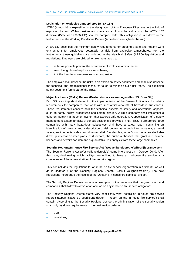### **Legislation on explosive atmospheres (ATEX 137)**

ATEX (Atmosphère explosible) is the designation of two European Directives in the field of explosion hazard. Within businesses where an explosion hazard exists, the ATEX 137 directive (Directive 1999/92/EC) shall be complied with. This obligation is laid down in the Netherlands in the Working Conditions Decree (Arbeidsomstandighedenbesluit).

ATEX 137 describes the minimum safety requirements for creating a safe and healthy work environment for employees potentially at risk from explosive atmospheres. For the Netherlands these guidelines are included in the Health & Safety (ARBO) legislation and regulations. Employers are obliged to take measures that:

- as far as possible prevent the occurrence of explosive atmospheres;
- avoid the ignition of explosive atmospheres;
- limit the harmful consequences of an explosion.

The employer shall describe the risks in an explosion safety document and shall also describe the technical and organisational measures taken to minimise such risk there. The explosion safety document forms part of the RI&E.

#### **Major Accidents (Risks) Decree (Besluit risico's zware ongevallen '99 (Brzo '99))**

Brzo '99 is an important element of the implementation of the Seveso II directive. It contains requirements for companies that work with substantial amounts of hazardous substances. These requirements concern both the technical aspects of safety and operational aspects, such as safety policy, procedures and communication. A Brzo company shall implement a coherent safety management system that assures safe operation. A specification of a safety management system for risks of serious accidents is provided in NTA 8620. Furthermore, Brzo companies with many hazardous substances shall have a safety report containing an identification of hazards and a description of risk control as regards internal safety, external safety, environmental safety and disaster relief. Besides this, large Brzo companies shall also draw up internal disaster plans. Furthermore, the public authorities that grant and enforce licences and permits can demand a quantitative risk analysis from these large companies.

### **Security Regions/In-house Fire Service Act (Wet veiligheidsregio's/Bedrijfsbrandweer)**

The Security Regions Act (Wet veiligheidsregio's) came into effect on 1 October 2010. After this date, designating which facilitys are obliged to have an in-house fire service is a competence of the administration of the security region.

This Act includes the regulations for an in-house fire service organization in Article 31, as well as in chapter 7 of the Security Regions Decree (Besluit veiligheidsregio's). The new regulations incorporate the results of the 'Updating in-house fire services' project.

The Security Regions Decree contains a description of the procedure that the government and companies shall follow to arrive at an opinion on any in-house fire service obligation:

The Security Regions Decree states very specifically what details an in-house fire service report ("rapport inzake de bedrijfsbrandweer" – 'report on the in-house fire service') shall contain. According to the Security Regions Decree the administration of the security region shall only lay down requirements in the designation order on:

- staff;
- provisions;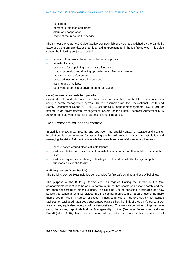- equipment;
- personal protection equipment;
- alarm and cooperation;
- scope of the in-house fire service.

The In-house Fire Service Guide (werkwijzer Bedrijfsbrandweren), published by the Landelijk Expertise Centrum Brandweer Brzo, is an aid in appointing an in-house fire service. This guide covers the following subjects in detail:

- statutory frameworks for in-house fire service provision;
- industrial safety;
- procedure for appointing the in-house fire service;
- hazard scenarios and drawing up the in-house fire service report;
- monitoring and enforcement;
- preparedness for in-house fire services
- training and practices;
- quality requirements of government organization.

#### **(Inter)national standards for operation**

(Inter)national standards have been drawn up that describe a method for a safe operation using a safety management system. Current examples are the Occupational Health and Safety Assessment Series (OHSAS) 18001 for OHS management systems, ISO 14001 for setting up an environmental management system, or the Dutch Technical Agreement NTA 8620 for the safety management systems of Brzo companies.

### Requirements for spatial context

In addition to technical integrity and operation, the spatial context of storage and transfer installations is also important for assessing the hazards relating to such an installation and managing the risks. A distinction is made between three types of distance requirements:

- hazard zones around electrical installations;
- distances between components of an installation, storage and flammable objects on the site;
- distance requirements relating to buildings inside and outside the facility and public functions outside the facility.

#### **Building Decree (Bouwbesluit)**

The Building Decree 2012 includes general rules for fire-safe building and use of buildings.

The purpose of the Building Decree 2012 as regards limiting the spread of fire (fire compartmentalisation) is to be able to control a fire so that people can escape safely and the fire does not spread to other buildings. The Building Decree specifies in principle (for new builds) that buildings shall be divided into fire compartments with an area of use of no more than 1 000 m<sup>2</sup> and in a number of cases – industrial functions – up to 2 500 m<sup>2</sup> (for storage facilities for packaged hazardous substances PGS 15 has the limit of 1 000 m<sup>2</sup>). For a larger area of use, equivalent safety shall be demonstrated. This may among other things be done using the survey report Method for Manageability of Fire (Methode Beheersbaarheid van Brand) (edition 2007). Note: in combination with hazardous substances, this requires special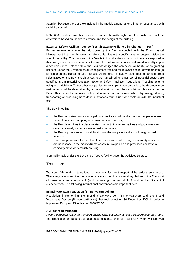attention because there are exclusions in the model, among other things for substances with rapid fire spread.

NEN 6068 states how this resistance to fire breakthrough and fire flashover shall be determined based on the fire resistance and the design of the building.

### **External Safety (Facilitys) Decree (Besluit externe veiligheid inrichtingen – Bevi)**

Further requirements may be laid down by the Bevi – coupled with the Environmental Management Act – for the external safety of facilitys with specific risks for people outside the site of the facility. The purpose of the Bevi is to limit the risks to which citizens are exposed in their living environment due to activities with hazardous substances performed in facilitys up to a set limit. Since October 2004, the Bevi has obliged the competent authority, when granting licences under the Environmental Management Act and for relevant spatial developments (in particular zoning plans), to take into account the external safety (place-related risk and group risk). Based on the Bevi, the distances to be maintained for a number of industrial sectors are specified in a ministerial regulation (External Safety (Facilitys) Regulations (Regeling externe veiligheid inrichtingen)). For other companies, for example Brzo companies, the distance to be maintained shall be determined by a risk calculation using the calculation rules stated in the Bevi. This indirectly imposes safety standards on companies which by using, storing, transporting or producing hazardous substances form a risk for people outside the industrial site.

#### The Bevi in outline:

- the Bevi regulates how a municipality or province shall handle risks for people who are present outside a company with hazardous substances;
- the Bevi determines the place-related risk. With this municipalities and provinces can determine safety distances around risk companies;
- the Bevi imposes an accountability duty on the competent authority if the group risk increases;
- when companies are located too close, for example to housing, extra safety measures are necessary. In the most extreme cases, municipalities and provinces can have a company move or demolish housing.

If an facility falls under the Bevi, it is a Type C facility under the Activities Decree.

### Transport:

Transport falls under international conventions for the transport of hazardous substances. These regulations and their translation are embodied in ministerial regulations in the Transport of hazardous substances act (Wet vervoer gevaarlijke stoffen) and in the Ships Act (Schepenwet). The following international conventions are important here:

#### **Inland waterways regulation (Binnenvaartregeling)**

Regulation implementing the Inland Waterways Act (Binnenvaartwet) and the Inland Waterways Decree (Binnenvaartbesluit) that took effect on 30 December 2008 in order to implement European Directive no. 2006/87/EC.

#### **ADR for road transport**

*Accord européen relatif au transport international des marchandises Dangereuses par Route.* The Regulation on transport of hazardous substance by land (Regeling vervoer over land van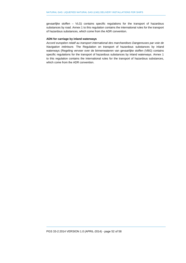gevaarlijke stoffen – VLG) contains specific regulations for the transport of hazardous substances by road. Annex 1 to this regulation contains the international rules for the transport of hazardous substances, which come from the ADR convention.

### **ADN for carriage by inland waterways**

*Accord européen relatif au transport international des marchandises Dangereuses par voie de Navigation intérieure.* The Regulation on transport of hazardous substances by inland waterways (Regeling vervoer over de binnenwateren van gevaarlijke stoffen (VBG) contains specific regulations for the transport of hazardous substances by inland waterways. Annex 1 to this regulation contains the international rules for the transport of hazardous substances, which come from the ADR convention.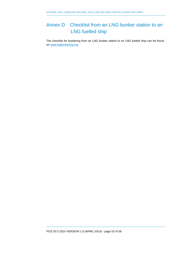# <span id="page-52-0"></span>Annex D Checklist from an LNG bunker station to an LNG fuelled ship

The checklist for bunkering from an LNG bunker station to an LNG fuelled ship can be found on [www.lngbunkering.org.](http://www.lngbunkering.org/)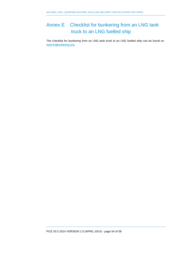# <span id="page-53-0"></span>Annex E Checklist for bunkering from an LNG tank truck to an LNG fuelled ship

The checklist for bunkering from an LNG tank truck to an LNG fuelled ship can be found on [www.lngbunkering.org.](http://www.lngbunkering.org/)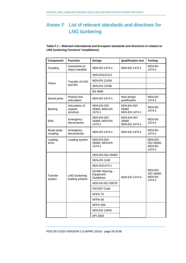# <span id="page-54-0"></span>Annex F List of relevant standards and directives for LNG bunkering

### **Table F.1 – Relevant international and European standards and directives in relation to LNG bunkering ('onshore' installations)**

| Component              | <b>Function</b>                          | Design                                          | <b>Qualification test</b>                   | <b>Testing</b>                                   |
|------------------------|------------------------------------------|-------------------------------------------------|---------------------------------------------|--------------------------------------------------|
| Coupling               | Connection to<br>ship's manifold         | <b>NEN-EN 1474-1</b>                            | <b>NEN-EN 1474-1</b>                        | <b>NEN-EN</b><br>1474-1                          |
|                        | Transfer of LNG<br>and NG                | <b>NEN-EN1474-2</b>                             |                                             |                                                  |
|                        |                                          | <b>NEN-EN 12434</b>                             |                                             |                                                  |
| Hoses                  |                                          | <b>NEN-EN 13766</b>                             |                                             |                                                  |
|                        |                                          | <b>BS 4089</b>                                  |                                             |                                                  |
| Swivel joints          | <b>Product line</b><br>articulation      | <b>NEN-EN 1474-1</b>                            | New design<br>qualification                 | NEN-EN<br>1474-1                                 |
| Bearing                | Articulation of<br>support<br>structure  | NEN-EN-ISO<br>28460, NEN-EN<br>1474-1           | NEN-EN-ISO<br>28460<br><b>NEN-EN 1474-1</b> | NEN-EN<br>1474-1                                 |
| <b>ERS</b>             | Emergency<br>disconnector                | NEN-EN-ISO<br>28460, NEN-EN<br>1474-1           | NEN-EN-ISO<br>28460<br><b>NEN-EN 1474-1</b> | NEN-EN<br>1474-1                                 |
| Break away<br>coupling | Emergency<br>disconnector                | <b>NEN-EN 1474-1</b>                            | <b>NEN-EN 1474-1</b>                        | NEN-EN<br>1474-1                                 |
| Loading<br>arms        | Loading system                           | NEN-EN-ISO<br>28460, NEN-EN<br>1474-1           |                                             | NEN-EN-<br>ISO 28460,<br>NEN-EN<br>1474-1        |
|                        | <b>LNG</b> bunkering<br>loading solution | <b>NEN-EN-ISO 28460</b>                         | <b>NEN-EN 1474-3</b>                        | NEN-EN-<br>ISO 28460,<br><b>NEN-EN</b><br>1474-1 |
|                        |                                          | <b>NEN-EN 1160</b>                              |                                             |                                                  |
|                        |                                          | <b>NEN-EN1474-1</b>                             |                                             |                                                  |
| Transfer<br>system     |                                          | <b>OCIMF Mooring</b><br>Equipment<br>Guidelines |                                             |                                                  |
|                        |                                          | NEN-EN-IEC 60079                                |                                             |                                                  |
|                        |                                          | <b>IGC\IGF Code</b>                             |                                             |                                                  |
|                        |                                          | NFPA 70                                         |                                             |                                                  |
|                        |                                          | NFPA <sub>58</sub>                              |                                             |                                                  |
|                        |                                          | NFPA 59A                                        |                                             |                                                  |
|                        |                                          | <b>NEN-EN 13645</b>                             |                                             |                                                  |
|                        |                                          | API 2003                                        |                                             |                                                  |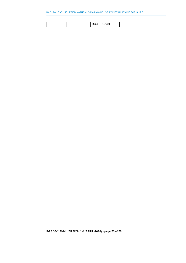|  | ISO/TS 16901 |  |
|--|--------------|--|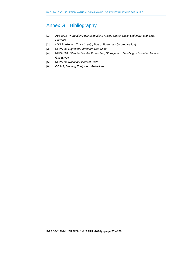## <span id="page-56-0"></span>Annex G Bibliography

- [1] API 2003, *Protection Against Ignitions Arising Out of Static, Lightning, and Stray Currents*
- [2] *LNG Bunkering: Truck to ship, Port of Rotterdam* (in preparation)
- [3] NFPA 58, *Liquefied Petroleum Gas Code*
- [4] NFPA 59A, *Standard for the Production, Storage, and Handling of Liquefied Natural Gas (LNG)*
- [5] NFPA 70, *National Electrical Code*
- [6] OCIMF, *Mooring Equipment Guidelines*